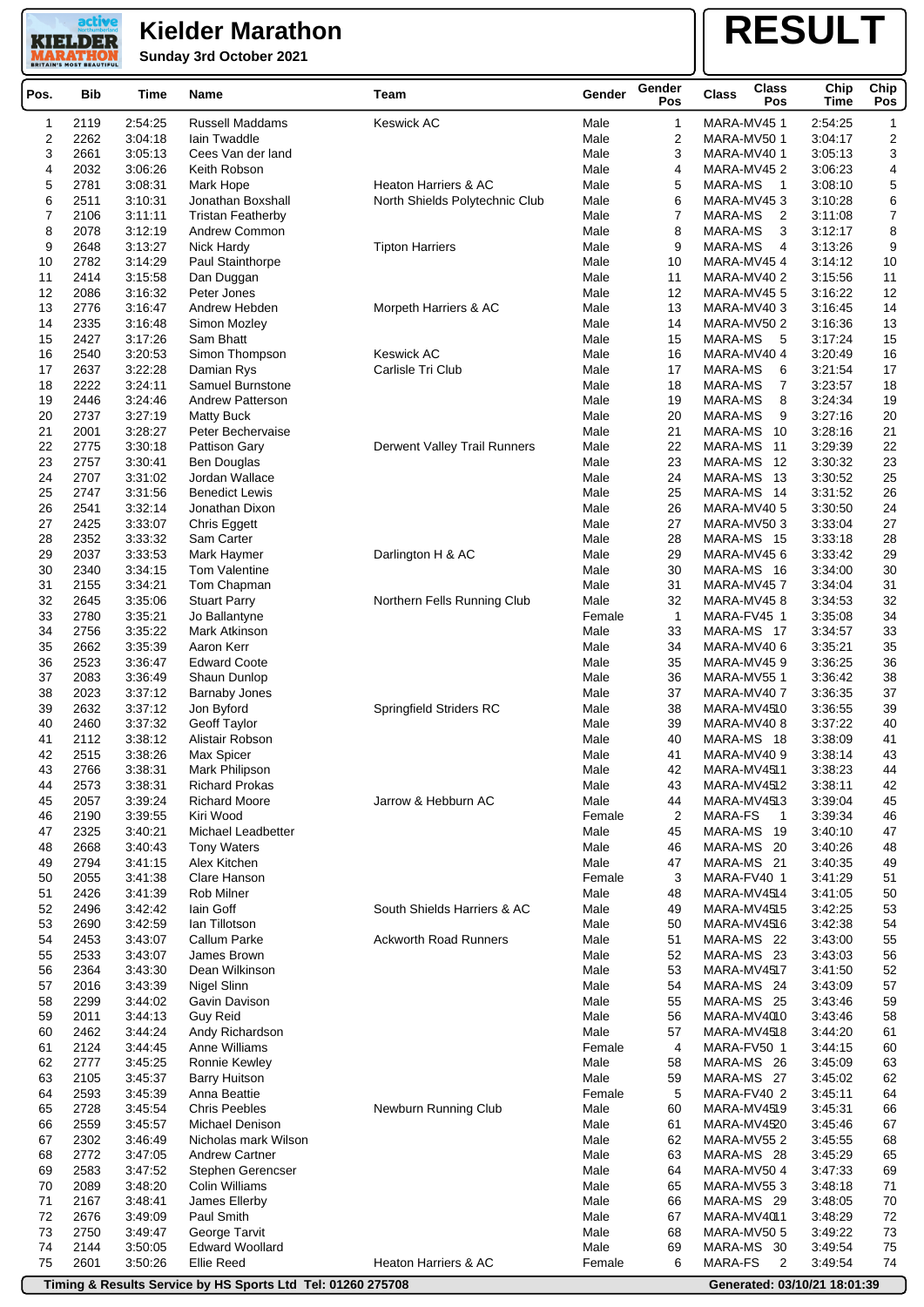**KIELDER Sunday 3rd October 2021 MARATHO** 

active

## **RESULT**

| Pos.     | Bib          | Time               | <b>Name</b>                  | Team                                   | Gender         | Gender<br>Pos  | <b>Class</b><br><b>Class</b><br>Pos | Chip<br>Time       | Chip<br>Pos |
|----------|--------------|--------------------|------------------------------|----------------------------------------|----------------|----------------|-------------------------------------|--------------------|-------------|
| 1        | 2119         | 2:54:25            | <b>Russell Maddams</b>       | <b>Keswick AC</b>                      | Male           | 1              | MARA-MV451                          | 2:54:25            | 1           |
| 2        | 2262         | 3:04:18            | lain Twaddle                 |                                        | Male           | 2              | MARA-MV501                          | 3:04:17            | 2           |
| 3        | 2661         | 3:05:13            | Cees Van der land            |                                        | Male           | 3              | MARA-MV401                          | 3:05:13            | 3           |
| 4        | 2032         | 3:06:26            | Keith Robson                 |                                        | Male           | 4              | MARA-MV452                          | 3:06:23            | 4           |
| 5        | 2781         | 3:08:31            | Mark Hope                    | <b>Heaton Harriers &amp; AC</b>        | Male           | 5              | MARA-MS<br>$\mathbf 1$              | 3:08:10            | 5           |
| 6        | 2511         | 3:10:31            | Jonathan Boxshall            | North Shields Polytechnic Club         | Male           | 6              | MARA-MV453                          | 3:10:28            | 6           |
| 7        | 2106         | 3:11:11            | <b>Tristan Featherby</b>     |                                        | Male           | $\overline{7}$ | MARA-MS<br>2                        | 3:11:08            | 7           |
| 8        | 2078         | 3:12:19            | Andrew Common                |                                        | Male           | 8              | 3<br>MARA-MS                        | 3:12:17            | 8           |
| 9        | 2648         | 3:13:27            | Nick Hardy                   | <b>Tipton Harriers</b>                 | Male           | 9              | MARA-MS<br>4                        | 3:13:26            | 9           |
| 10       | 2782         | 3:14:29            | Paul Stainthorpe             |                                        | Male           | 10             | MARA-MV454                          | 3:14:12            | 10          |
| 11       | 2414         | 3:15:58            | Dan Duggan                   |                                        | Male           | 11             | MARA-MV402                          | 3:15:56            | 11          |
| 12       | 2086         | 3:16:32            | Peter Jones                  |                                        | Male           | 12             | MARA-MV45 5                         | 3:16:22            | 12          |
| 13       | 2776         | 3:16:47            | Andrew Hebden                | Morpeth Harriers & AC                  | Male           | 13             | MARA-MV403                          | 3:16:45            | 14          |
| 14       | 2335         | 3:16:48            | Simon Mozley                 |                                        | Male           | 14             | MARA-MV50 2                         | 3:16:36            | 13          |
| 15       | 2427         | 3:17:26            | Sam Bhatt                    |                                        | Male           | 15             | MARA-MS<br>5                        | 3:17:24            | 15          |
| 16<br>17 | 2540<br>2637 | 3:20:53<br>3:22:28 | Simon Thompson<br>Damian Rys | <b>Keswick AC</b><br>Carlisle Tri Club | Male<br>Male   | 16<br>17       | MARA-MV40 4<br>MARA-MS<br>6         | 3:20:49<br>3:21:54 | 16<br>17    |
| 18       | 2222         | 3:24:11            | Samuel Burnstone             |                                        | Male           | 18             | MARA-MS<br>7                        | 3:23:57            | 18          |
| 19       | 2446         | 3:24:46            | <b>Andrew Patterson</b>      |                                        | Male           | 19             | MARA-MS<br>8                        | 3:24:34            | 19          |
| 20       | 2737         | 3:27:19            | Matty Buck                   |                                        | Male           | 20             | MARA-MS<br>9                        | 3.27:16            | 20          |
| 21       | 2001         | 3:28:27            | Peter Bechervaise            |                                        | Male           | 21             | MARA-MS<br>10                       | 3:28:16            | 21          |
| 22       | 2775         | 3:30:18            | Pattison Gary                | Derwent Valley Trail Runners           | Male           | 22             | MARA-MS<br>11                       | 3:29:39            | 22          |
| 23       | 2757         | 3:30:41            | Ben Douglas                  |                                        | Male           | 23             | MARA-MS<br>12                       | 3:30:32            | 23          |
| 24       | 2707         | 3:31:02            | Jordan Wallace               |                                        | Male           | 24             | MARA-MS<br>- 13                     | 3:30:52            | 25          |
| 25       | 2747         | 3:31:56            | <b>Benedict Lewis</b>        |                                        | Male           | 25             | MARA-MS 14                          | 3:31:52            | 26          |
| 26       | 2541         | 3:32:14            | Jonathan Dixon               |                                        | Male           | 26             | MARA-MV40 5                         | 3:30:50            | 24          |
| 27       | 2425         | 3:33:07            | Chris Eggett                 |                                        | Male           | 27             | MARA-MV50 3                         | 3:33:04            | 27          |
| 28       | 2352         | 3:33:32            | Sam Carter                   |                                        | Male           | 28             | MARA-MS 15                          | 3:33:18            | 28          |
| 29       | 2037         | 3:33:53            | Mark Haymer                  | Darlington H & AC                      | Male           | 29             | MARA-MV45 6                         | 3:33:42            | 29          |
| 30       | 2340         | 3:34:15            | Tom Valentine                |                                        | Male           | 30             | MARA-MS 16                          | 3:34:00            | 30          |
| 31       | 2155         | 3:34:21            | Tom Chapman                  |                                        | Male           | 31             | MARA-MV457                          | 3:34:04            | 31          |
| 32       | 2645         | 3:35:06            | <b>Stuart Parry</b>          | Northern Fells Running Club            | Male           | 32             | MARA-MV458                          | 3:34:53            | 32          |
| 33       | 2780         | 3:35:21            | Jo Ballantyne                |                                        | Female         | $\mathbf{1}$   | MARA-FV45 1                         | 3:35:08            | 34          |
| 34       | 2756         | 3:35:22            | Mark Atkinson                |                                        | Male           | 33             | MARA-MS 17                          | 3:34:57            | 33          |
| 35       | 2662         | 3:35:39            | Aaron Kerr                   |                                        | Male           | 34             | MARA-MV40 6                         | 3:35:21            | 35          |
| 36       | 2523         | 3:36:47            | <b>Edward Coote</b>          |                                        | Male           | 35             | MARA-MV459                          | 3:36:25            | 36          |
| 37       | 2083         | 3:36:49            | Shaun Dunlop                 |                                        | Male           | 36             | MARA-MV551                          | 3:36:42            | 38          |
| 38       | 2023         | 3:37:12            | <b>Barnaby Jones</b>         |                                        | Male           | 37             | MARA-MV407                          | 3:36:35            | 37          |
| 39       | 2632         | 3:37:12            | Jon Byford                   | <b>Springfield Striders RC</b>         | Male           | 38             | MARA-MV4510                         | 3:36:55            | 39          |
| 40       | 2460         | 3:37:32            | <b>Geoff Taylor</b>          |                                        | Male           | 39             | MARA-MV408                          | 3:37:22            | 40          |
| 41       | 2112         | 3:38:12            | Alistair Robson              |                                        | Male           | 40             | MARA-MS 18                          | 3:38:09            | 41          |
| 42       | 2515         | 3:38:26            | Max Spicer                   |                                        | Male           | 41             | MARA-MV40 9                         | 3:38:14            | 43          |
| 43       | 2766         | 3:38:31            | Mark Philipson               |                                        | Male           | 42             | MARA-MV4511                         | 3:38:23            | 44          |
| 44       | 2573         | 3:38:31            | <b>Richard Prokas</b>        |                                        | Male           | 43             | MARA-MV4512                         | 3:38:11            | 42          |
| 45       | 2057         | 3:39:24            | <b>Richard Moore</b>         | Jarrow & Hebburn AC                    | Male           | 44             | MARA-MV4513                         | 3:39:04            | 45          |
| 46       | 2190         | 3:39:55            | Kiri Wood                    |                                        | Female         | 2              | <b>MARA-FS</b><br>$\mathbf{1}$      | 3:39:34            | 46          |
| 47       | 2325         | 3:40:21            | Michael Leadbetter           |                                        | Male           | 45             | MARA-MS<br>19<br>MARA-MS 20         | 3:40:10            | 47          |
| 48       | 2668         | 3:40:43            | <b>Tony Waters</b>           |                                        | Male           | 46             |                                     | 3:40:26            | 48          |
| 49<br>50 | 2794<br>2055 | 3:41:15<br>3:41:38 | Alex Kitchen<br>Clare Hanson |                                        | Male<br>Female | 47<br>3        | MARA-MS 21<br>MARA-FV40 1           | 3:40:35            | 49          |
| 51       | 2426         | 3:41:39            | Rob Milner                   |                                        | Male           | 48             | MARA-MV4514                         | 3:41:29<br>3:41:05 | 51          |
| 52       | 2496         | 3:42:42            | lain Goff                    | South Shields Harriers & AC            | Male           | 49             | <b>MARA-MV4515</b>                  | 3:42:25            | 50<br>53    |
| 53       | 2690         | 3:42:59            | lan Tillotson                |                                        | Male           | 50             | MARA-MV4516                         | 3:42:38            | 54          |
| 54       | 2453         | 3:43:07            | Callum Parke                 | <b>Ackworth Road Runners</b>           | Male           | 51             | MARA-MS 22                          | 3:43:00            | 55          |
| 55       | 2533         | 3:43:07            | James Brown                  |                                        | Male           | 52             | MARA-MS 23                          | 3:43:03            | 56          |
| 56       | 2364         | 3:43:30            | Dean Wilkinson               |                                        | Male           | 53             | MARA-MV4517                         | 3:41:50            | 52          |
| 57       | 2016         | 3:43:39            | Nigel Slinn                  |                                        | Male           | 54             | MARA-MS 24                          | 3:43:09            | 57          |
| 58       | 2299         | 3:44:02            | Gavin Davison                |                                        | Male           | 55             | MARA-MS 25                          | 3:43:46            | 59          |
| 59       | 2011         | 3:44:13            | <b>Guy Reid</b>              |                                        | Male           | 56             | MARA-MV4010                         | 3:43:46            | 58          |
| 60       | 2462         | 3:44:24            | Andy Richardson              |                                        | Male           | 57             | MARA-MV4518                         | 3:44:20            | 61          |
| 61       | 2124         | 3:44:45            | Anne Williams                |                                        | Female         | 4              | MARA-FV50 1                         | 3:44:15            | 60          |
| 62       | 2777         | 3:45:25            | Ronnie Kewley                |                                        | Male           | 58             | MARA-MS 26                          | 3:45:09            | 63          |
| 63       | 2105         | 3:45:37            | <b>Barry Huitson</b>         |                                        | Male           | 59             | MARA-MS 27                          | 3:45:02            | 62          |
| 64       | 2593         | 3:45:39            | Anna Beattie                 |                                        | Female         | 5              | MARA-FV40 2                         | 3:45:11            | 64          |
| 65       | 2728         | 3:45:54            | <b>Chris Peebles</b>         | Newburn Running Club                   | Male           | 60             | MARA-MV4519                         | 3:45:31            | 66          |
| 66       | 2559         | 3:45:57            | Michael Denison              |                                        | Male           | 61             | MARA-MV4520                         | 3:45:46            | 67          |
| 67       | 2302         | 3:46:49            | Nicholas mark Wilson         |                                        | Male           | 62             | MARA-MV55 2                         | 3:45:55            | 68          |
| 68       | 2772         | 3:47:05            | <b>Andrew Cartner</b>        |                                        | Male           | 63             | MARA-MS 28                          | 3:45:29            | 65          |
| 69       | 2583         | 3:47:52            | Stephen Gerencser            |                                        | Male           | 64             | MARA-MV50 4                         | 3:47:33            | 69          |
| 70       | 2089         | 3:48:20            | <b>Colin Williams</b>        |                                        | Male           | 65             | MARA-MV55 3                         | 3:48:18            | 71          |
| 71       | 2167         | 3:48:41            | James Ellerby                |                                        | Male           | 66             | MARA-MS 29                          | 3:48:05            | 70          |
| 72       | 2676         | 3:49:09            | Paul Smith                   |                                        | Male           | 67             | MARA-MV4011                         | 3:48:29            | 72          |
| 73       | 2750         | 3:49:47            | George Tarvit                |                                        | Male           | 68             | MARA-MV50 5                         | 3:49:22            | 73          |
| 74       | 2144         | 3:50:05            | <b>Edward Woollard</b>       |                                        | Male           | 69             | MARA-MS 30                          | 3:49:54            | 75          |
| 75       | 2601         | 3:50:26            | Ellie Reed                   | Heaton Harriers & AC                   | Female         | 6              | <b>MARA-FS</b><br>2                 | 3:49:54            | 74          |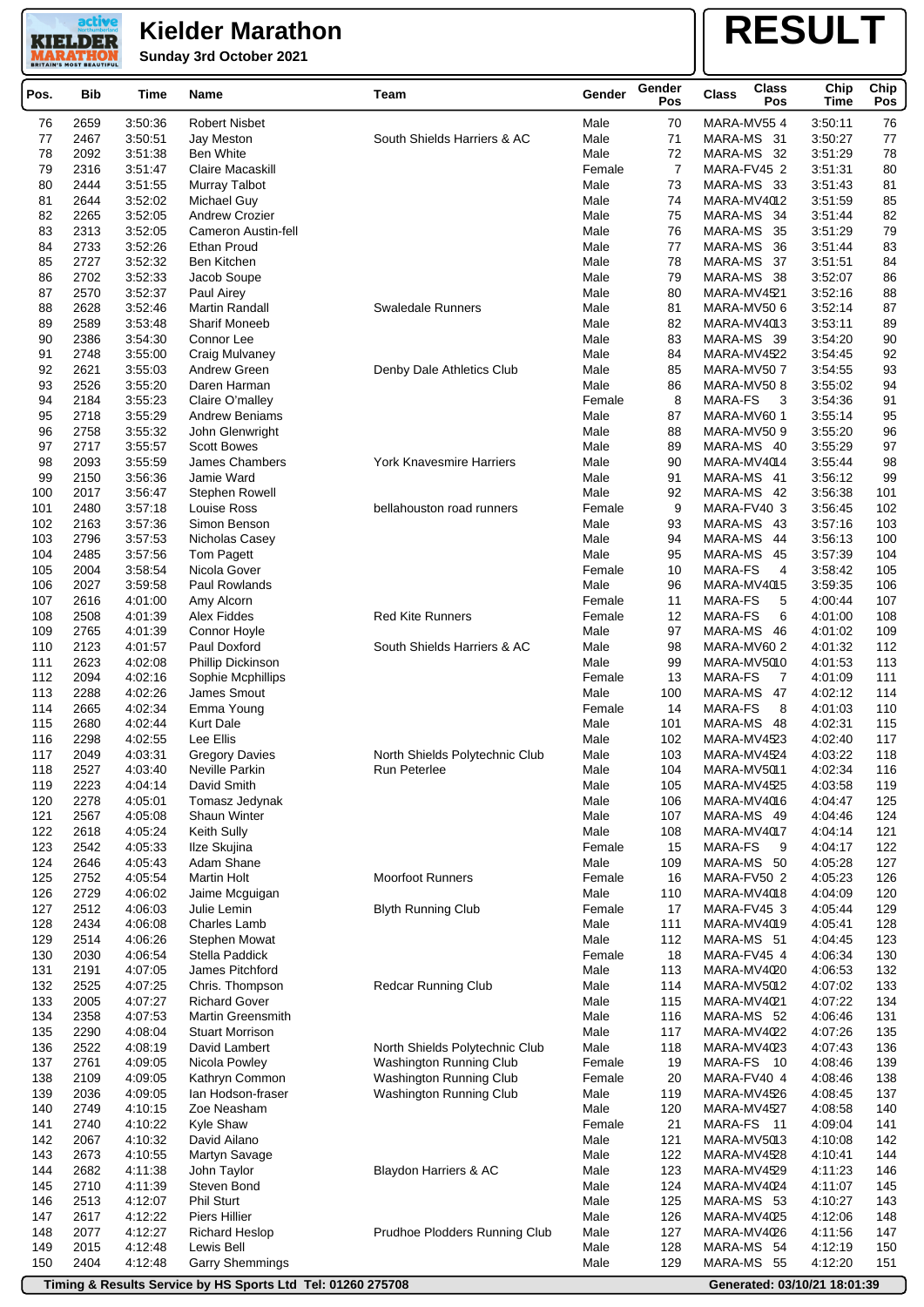**Sunday 3rd October 2021**

active **KIELDER MARATHO** 

# **RESULT**

| Pos.       | <b>Bib</b>   | Time               | Name                                                        | Team                                               | Gender           | Gender<br>Pos | <b>Class</b> | <b>Class</b><br>Pos        | Chip<br>Time                 | Chip<br>Pos |
|------------|--------------|--------------------|-------------------------------------------------------------|----------------------------------------------------|------------------|---------------|--------------|----------------------------|------------------------------|-------------|
| 76         | 2659         | 3:50:36            | Robert Nisbet                                               |                                                    | Male             | 70            |              | MARA-MV554                 | 3:50:11                      | 76          |
| 77         | 2467         | 3:50:51            | Jay Meston                                                  | South Shields Harriers & AC                        | Male             | 71            |              | MARA-MS 31                 | 3:50:27                      | 77          |
| 78         | 2092         | 3:51:38            | <b>Ben White</b>                                            |                                                    | Male             | 72            |              | MARA-MS 32                 | 3:51:29                      | 78          |
| 79         | 2316         | 3:51:47            | Claire Macaskill                                            |                                                    | Female           | 7             |              | MARA-FV45 2                | 3:51:31                      | 80          |
| 80         | 2444         | 3:51:55            | Murray Talbot                                               |                                                    | Male             | 73            |              | MARA-MS 33                 | 3:51:43                      | 81          |
| 81         | 2644         | 3:52:02            | Michael Guy                                                 |                                                    | Male             | 74            |              | MARA-MV4012                | 3:51:59                      | 85          |
| 82         | 2265         | 3:52:05            | <b>Andrew Crozier</b>                                       |                                                    | Male             | 75            |              | MARA-MS 34                 | 3:51:44                      | 82          |
| 83         | 2313         | 3:52:05            | Cameron Austin-fell                                         |                                                    | Male             | 76            |              | MARA-MS 35                 | 3:51:29                      | 79          |
| 84<br>85   | 2733<br>2727 | 3:52:26<br>3:52:32 | Ethan Proud<br>Ben Kitchen                                  |                                                    | Male<br>Male     | 77<br>78      |              | MARA-MS 36<br>MARA-MS 37   | 3:51:44<br>3:51:51           | 83<br>84    |
| 86         | 2702         | 3:52:33            | Jacob Soupe                                                 |                                                    | Male             | 79            |              | MARA-MS 38                 | 3:52:07                      | 86          |
| 87         | 2570         | 3:52:37            | Paul Airey                                                  |                                                    | Male             | 80            |              | MARA-MV4521                | 3:52:16                      | 88          |
| 88         | 2628         | 3:52:46            | Martin Randall                                              | <b>Swaledale Runners</b>                           | Male             | 81            |              | MARA-MV50 6                | 3:52:14                      | 87          |
| 89         | 2589         | 3:53:48            | <b>Sharif Moneeb</b>                                        |                                                    | Male             | 82            |              | MARA-MV4013                | 3:53:11                      | 89          |
| 90         | 2386         | 3:54:30            | Connor Lee                                                  |                                                    | Male             | 83            |              | MARA-MS 39                 | 3:54:20                      | 90          |
| 91         | 2748         | 3:55:00            | Craig Mulvaney                                              |                                                    | Male             | 84            |              | MARA-MV4522                | 3:54:45                      | 92          |
| 92         | 2621         | 3:55:03            | Andrew Green                                                | Denby Dale Athletics Club                          | Male             | 85            |              | MARA-MV50 7                | 3:54:55                      | 93          |
| 93         | 2526         | 3:55:20            | Daren Harman                                                |                                                    | Male             | 86            |              | MARA-MV50 8                | 3:55:02                      | 94          |
| 94         | 2184         | 3:55:23            | Claire O'malley                                             |                                                    | Female           | 8             | MARA-FS      | 3                          | 3:54:36                      | 91          |
| 95         | 2718         | 3:55:29            | <b>Andrew Beniams</b>                                       |                                                    | Male             | 87            |              | MARA-MV601                 | 3:55:14                      | 95          |
| 96         | 2758         | 3:55:32            | John Glenwright                                             |                                                    | Male             | 88            |              | MARA-MV50 9                | 3:55:20                      | 96          |
| 97         | 2717         | 3:55:57            | <b>Scott Bowes</b>                                          | <b>York Knavesmire Harriers</b>                    | Male             | 89            |              | MARA-MS 40                 | 3:55:29                      | 97          |
| 98<br>99   | 2093<br>2150 | 3:55:59<br>3:56:36 | <b>James Chambers</b><br>Jamie Ward                         |                                                    | Male<br>Male     | 90<br>91      |              | MARA-MV4014<br>MARA-MS 41  | 3:55:44<br>3:56:12           | 98<br>99    |
| 100        | 2017         | 3:56:47            | Stephen Rowell                                              |                                                    | Male             | 92            |              | MARA-MS 42                 | 3:56:38                      | 101         |
| 101        | 2480         | 3:57:18            | Louise Ross                                                 | bellahouston road runners                          | Female           | 9             |              | MARA-FV40 3                | 3:56:45                      | 102         |
| 102        | 2163         | 3:57:36            | Simon Benson                                                |                                                    | Male             | 93            |              | MARA-MS 43                 | 3:57:16                      | 103         |
| 103        | 2796         | 3:57:53            | Nicholas Casey                                              |                                                    | Male             | 94            |              | MARA-MS 44                 | 3:56:13                      | 100         |
| 104        | 2485         | 3:57:56            | Tom Pagett                                                  |                                                    | Male             | 95            | MARA-MS      | -45                        | 3:57:39                      | 104         |
| 105        | 2004         | 3:58:54            | Nicola Gover                                                |                                                    | Female           | 10            | MARA-FS      | 4                          | 3:58:42                      | 105         |
| 106        | 2027         | 3:59:58            | Paul Rowlands                                               |                                                    | Male             | 96            |              | MARA-MV4015                | 3:59:35                      | 106         |
| 107        | 2616         | 4:01:00            | Amy Alcorn                                                  |                                                    | Female           | 11            | MARA-FS      | 5                          | 4:00:44                      | 107         |
| 108        | 2508         | 4:01:39            | <b>Alex Fiddes</b>                                          | <b>Red Kite Runners</b>                            | Female           | 12            | MARA-FS      | 6                          | 4:01:00                      | 108         |
| 109        | 2765         | 4:01:39            | Connor Hoyle                                                |                                                    | Male             | 97            |              | MARA-MS 46                 | 4:01:02                      | 109         |
| 110<br>111 | 2123<br>2623 | 4:01:57<br>4:02:08 | Paul Doxford                                                | South Shields Harriers & AC                        | Male<br>Male     | 98<br>99      |              | MARA-MV60 2<br>MARA-MV5010 | 4:01:32<br>4:01:53           | 112<br>113  |
| 112        | 2094         | 4:02:16            | Phillip Dickinson<br>Sophie Mcphillips                      |                                                    | Female           | 13            | MARA-FS      | 7                          | 4:01:09                      | 111         |
| 113        | 2288         | 4:02:26            | James Smout                                                 |                                                    | Male             | 100           | MARA-MS      | 47                         | 4:02:12                      | 114         |
| 114        | 2665         | 4:02:34            | Emma Young                                                  |                                                    | Female           | 14            | MARA-FS      | 8                          | 4:01:03                      | 110         |
| 115        | 2680         | 4:02:44            | <b>Kurt Dale</b>                                            |                                                    | Male             | 101           |              | MARA-MS 48                 | 4:02:31                      | 115         |
| 116        | 2298         | 4:02:55            | Lee Ellis                                                   |                                                    | Male             | 102           |              | MARA-MV4523                | 4:02:40                      | 117         |
| 117        | 2049         | 4:03:31            | <b>Gregory Davies</b>                                       | North Shields Polytechnic Club                     | Male             | 103           |              | MARA-MV4524                | 4:03:22                      | 118         |
| 118        | 2527         | 4:03:40            | Neville Parkin                                              | Run Peterlee                                       | Male             | 104           |              | MARA-MV5011                | 4:02:34                      | 116         |
| 119        | 2223         | 4:04:14            | David Smith                                                 |                                                    | Male             | 105           |              | MARA-MV4525                | 4:03:58                      | 119         |
| 120        | 2278         | 4:05:01            | Tomasz Jedynak                                              |                                                    | Male             | 106           |              | MARA-MV4016                | 4:04:47                      | 125         |
| 121        | 2567         | 4:05:08            | Shaun Winter                                                |                                                    | Male             | 107           |              | MARA-MS 49                 | 4:04:46                      | 124         |
| 122<br>123 | 2618<br>2542 | 4:05:24<br>4:05:33 | Keith Sully<br>Ilze Skujina                                 |                                                    | Male<br>Female   | 108<br>15     | MARA-FS      | MARA-MV4017<br>- 9         | 4:04:14<br>4:04:17           | 121<br>122  |
| 124        | 2646         | 4:05:43            | Adam Shane                                                  |                                                    | Male             | 109           |              | MARA-MS 50                 | 4:05:28                      | 127         |
| 125        | 2752         | 4:05:54            | <b>Martin Holt</b>                                          | <b>Moorfoot Runners</b>                            | Female           | 16            |              | MARA-FV50 2                | 4:05:23                      | 126         |
| 126        | 2729         | 4:06:02            | Jaime Mcguigan                                              |                                                    | Male             | 110           |              | MARA-MV4018                | 4:04:09                      | 120         |
| 127        | 2512         | 4:06:03            | Julie Lemin                                                 | <b>Blyth Running Club</b>                          | Female           | 17            |              | MARA-FV45 3                | 4:05:44                      | 129         |
| 128        | 2434         | 4:06:08            | Charles Lamb                                                |                                                    | Male             | 111           |              | MARA-MV4019                | 4:05:41                      | 128         |
| 129        | 2514         | 4:06:26            | Stephen Mowat                                               |                                                    | Male             | 112           |              | MARA-MS 51                 | 4:04:45                      | 123         |
| 130        | 2030         | 4:06:54            | Stella Paddick                                              |                                                    | Female           | 18            |              | MARA-FV45 4                | 4:06:34                      | 130         |
| 131        | 2191         | 4:07:05            | James Pitchford                                             |                                                    | Male             | 113           |              | MARA-MV4020                | 4:06:53                      | 132         |
| 132        | 2525         | 4:07:25            | Chris. Thompson                                             | Redcar Running Club                                | Male             | 114           |              | MARA-MV5012                | 4:07:02                      | 133         |
| 133        | 2005         | 4:07:27            | <b>Richard Gover</b>                                        |                                                    | Male             | 115           |              | MARA-MV4021                | 4:07:22                      | 134         |
| 134        | 2358         | 4:07:53            | <b>Martin Greensmith</b>                                    |                                                    | Male             | 116           |              | MARA-MS 52                 | 4:06:46                      | 131         |
| 135        | 2290         | 4:08:04            | <b>Stuart Morrison</b>                                      |                                                    | Male             | 117           |              | MARA-MV4022                | 4:07:26                      | 135         |
| 136<br>137 | 2522<br>2761 | 4:08:19<br>4:09:05 | David Lambert<br>Nicola Powley                              | North Shields Polytechnic Club                     | Male             | 118           |              | MARA-MV4023<br>MARA-FS 10  | 4:07:43<br>4:08:46           | 136<br>139  |
| 138        | 2109         | 4:09:05            | Kathryn Common                                              | Washington Running Club<br>Washington Running Club | Female<br>Female | 19<br>20      |              | MARA-FV40 4                | 4:08:46                      | 138         |
| 139        | 2036         | 4:09:05            | lan Hodson-fraser                                           | Washington Running Club                            | Male             | 119           |              | MARA-MV4526                | 4:08:45                      | 137         |
| 140        | 2749         | 4:10:15            | Zoe Neasham                                                 |                                                    | Male             | 120           |              | MARA-MV4527                | 4:08:58                      | 140         |
| 141        | 2740         | 4:10:22            | Kyle Shaw                                                   |                                                    | Female           | 21            |              | MARA-FS 11                 | 4:09:04                      | 141         |
| 142        | 2067         | 4:10:32            | David Ailano                                                |                                                    | Male             | 121           |              | MARA-MV5013                | 4:10:08                      | 142         |
| 143        | 2673         | 4:10:55            | Martyn Savage                                               |                                                    | Male             | 122           |              | MARA-MV4528                | 4:10:41                      | 144         |
| 144        | 2682         | 4:11:38            | John Taylor                                                 | Blaydon Harriers & AC                              | Male             | 123           |              | MARA-MV4529                | 4:11:23                      | 146         |
| 145        | 2710         | 4:11:39            | Steven Bond                                                 |                                                    | Male             | 124           |              | MARA-MV4024                | 4:11:07                      | 145         |
| 146        | 2513         | 4:12:07            | Phil Sturt                                                  |                                                    | Male             | 125           |              | MARA-MS 53                 | 4:10:27                      | 143         |
| 147        | 2617         | 4:12:22            | Piers Hillier                                               |                                                    | Male             | 126           |              | MARA-MV4025                | 4:12:06                      | 148         |
| 148        | 2077         | 4:12:27            | <b>Richard Heslop</b>                                       | Prudhoe Plodders Running Club                      | Male             | 127           |              | MARA-MV4026                | 4:11:56                      | 147         |
| 149        | 2015         | 4:12:48            | Lewis Bell                                                  |                                                    | Male             | 128           |              | MARA-MS 54                 | 4:12:19                      | 150         |
| 150        | 2404         | 4:12:48            | <b>Garry Shemmings</b>                                      |                                                    | Male             | 129           |              | MARA-MS 55                 | 4:12:20                      | 151         |
|            |              |                    | Timing & Results Service by HS Sports Ltd Tel: 01260 275708 |                                                    |                  |               |              |                            | Generated: 03/10/21 18:01:39 |             |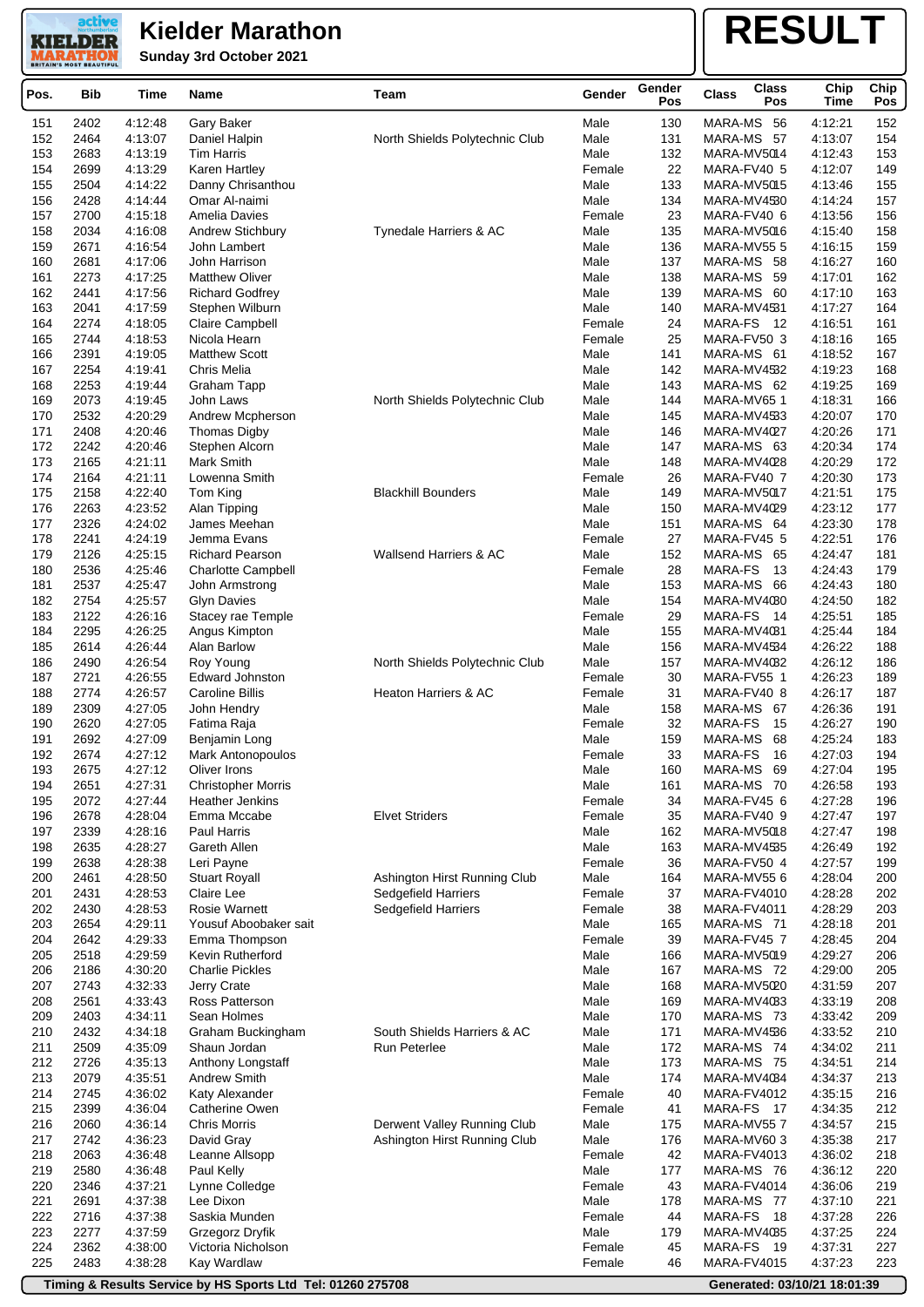**Sunday 3rd October 2021**

active **KIELDER** 

### **RESULT**

| Pos.       | <b>Bib</b>   | Time               | Name                                        | Team                              | Gender         | Gender<br>Pos | <b>Class</b><br><b>Class</b><br>Pos | Chip<br>Time       | Chip<br>Pos |
|------------|--------------|--------------------|---------------------------------------------|-----------------------------------|----------------|---------------|-------------------------------------|--------------------|-------------|
| 151        | 2402         | 4:12:48            | Gary Baker                                  |                                   | Male           | 130           | MARA-MS 56                          | 4:12:21            | 152         |
| 152        | 2464         | 4:13:07            | Daniel Halpin                               | North Shields Polytechnic Club    | Male           | 131           | MARA-MS 57                          | 4:13:07            | 154         |
| 153        | 2683         | 4:13:19            | <b>Tim Harris</b>                           |                                   | Male           | 132           | MARA-MV5014                         | 4:12:43            | 153         |
| 154        | 2699         | 4:13:29            | Karen Hartley                               |                                   | Female         | 22            | MARA-FV40 5                         | 4:12:07            | 149         |
| 155        | 2504         | 4:14:22            | Danny Chrisanthou                           |                                   | Male           | 133           | MARA-MV5015                         | 4:13:46            | 155         |
| 156        | 2428         | 4:14:44            | Omar Al-naimi                               |                                   | Male           | 134           | MARA-MV4530                         | 4:14:24            | 157         |
| 157        | 2700         | 4:15:18            | Amelia Davies                               |                                   | Female         | 23            | MARA-FV40 6                         | 4:13:56            | 156         |
| 158<br>159 | 2034<br>2671 | 4:16:08<br>4:16:54 | Andrew Stichbury                            | Tynedale Harriers & AC            | Male<br>Male   | 135<br>136    | MARA-MV5016<br>MARA-MV555           | 4:15:40<br>4:16:15 | 158<br>159  |
| 160        | 2681         | 4:17:06            | John Lambert<br>John Harrison               |                                   | Male           | 137           | MARA-MS 58                          | 4:16:27            | 160         |
| 161        | 2273         | 4:17:25            | <b>Matthew Oliver</b>                       |                                   | Male           | 138           | MARA-MS 59                          | 4:17:01            | 162         |
| 162        | 2441         | 4:17:56            | <b>Richard Godfrey</b>                      |                                   | Male           | 139           | MARA-MS 60                          | 4:17:10            | 163         |
| 163        | 2041         | 4:17:59            | Stephen Wilburn                             |                                   | Male           | 140           | MARA-MV4531                         | 4:17:27            | 164         |
| 164        | 2274         | 4:18:05            | Claire Campbell                             |                                   | Female         | 24            | MARA-FS<br>- 12                     | 4:16:51            | 161         |
| 165        | 2744         | 4:18:53            | Nicola Hearn                                |                                   | Female         | 25            | MARA-FV50 3                         | 4:18:16            | 165         |
| 166        | 2391         | 4:19:05            | <b>Matthew Scott</b>                        |                                   | Male           | 141           | MARA-MS 61                          | 4:18:52            | 167         |
| 167        | 2254         | 4:19:41            | Chris Melia                                 |                                   | Male           | 142           | MARA-MV4532                         | 4:19:23            | 168         |
| 168<br>169 | 2253<br>2073 | 4:19:44<br>4:19:45 | <b>Graham Tapp</b><br>John Laws             | North Shields Polytechnic Club    | Male<br>Male   | 143<br>144    | MARA-MS 62<br>MARA-MV651            | 4:19:25<br>4:18:31 | 169<br>166  |
| 170        | 2532         | 4:20:29            | Andrew Mcpherson                            |                                   | Male           | 145           | MARA-MV4533                         | 4:20:07            | 170         |
| 171        | 2408         | 4:20:46            | Thomas Digby                                |                                   | Male           | 146           | MARA-MV4027                         | 4:20:26            | 171         |
| 172        | 2242         | 4:20:46            | Stephen Alcorn                              |                                   | Male           | 147           | MARA-MS 63                          | 4:20:34            | 174         |
| 173        | 2165         | 4.21:11            | Mark Smith                                  |                                   | Male           | 148           | MARA-MV4028                         | 4:20:29            | 172         |
| 174        | 2164         | 4:21:11            | Lowenna Smith                               |                                   | Female         | 26            | MARA-FV40 7                         | 4:20:30            | 173         |
| 175        | 2158         | 4:22:40            | Tom King                                    | <b>Blackhill Bounders</b>         | Male           | 149           | MARA-MV5017                         | 4:21:51            | 175         |
| 176        | 2263         | 4:23:52            | Alan Tipping                                |                                   | Male           | 150           | MARA-MV4029                         | 4:23:12            | 177         |
| 177        | 2326         | 4:24:02            | James Meehan                                |                                   | Male           | 151           | MARA-MS 64                          | 4:23:30            | 178         |
| 178        | 2241         | 4:24:19            | Jemma Evans                                 |                                   | Female         | 27            | MARA-FV45 5                         | 4:22:51            | 176         |
| 179<br>180 | 2126<br>2536 | 4:25:15<br>4:25:46 | <b>Richard Pearson</b>                      | <b>Wallsend Harriers &amp; AC</b> | Male<br>Female | 152<br>28     | MARA-MS 65<br>MARA-FS<br>13         | 4:24:47<br>4:24:43 | 181<br>179  |
| 181        | 2537         | 4:25:47            | <b>Charlotte Campbell</b><br>John Armstrong |                                   | Male           | 153           | MARA-MS 66                          | 4:24:43            | 180         |
| 182        | 2754         | 4:25:57            | <b>Glyn Davies</b>                          |                                   | Male           | 154           | MARA-MV4030                         | 4:24:50            | 182         |
| 183        | 2122         | 4:26:16            | Stacey rae Temple                           |                                   | Female         | 29            | MARA-FS<br>- 14                     | 4:25:51            | 185         |
| 184        | 2295         | 4:26:25            | Angus Kimpton                               |                                   | Male           | 155           | MARA-MV4081                         | 4:25:44            | 184         |
| 185        | 2614         | 4:26:44            | Alan Barlow                                 |                                   | Male           | 156           | MARA-MV4534                         | 4:26:22            | 188         |
| 186        | 2490         | 4:26:54            | Roy Young                                   | North Shields Polytechnic Club    | Male           | 157           | MARA-MV4082                         | 4:26:12            | 186         |
| 187        | 2721         | 4:26:55            | Edward Johnston                             |                                   | Female         | 30            | MARA-FV55 1                         | 4:26:23            | 189         |
| 188        | 2774         | 4:26:57            | <b>Caroline Billis</b>                      | <b>Heaton Harriers &amp; AC</b>   | Female         | 31            | MARA-FV40 8                         | 4:26:17            | 187         |
| 189<br>190 | 2309<br>2620 | 4:27:05<br>4:27:05 | John Hendry                                 |                                   | Male           | 158<br>32     | MARA-MS 67<br>MARA-FS<br>15         | 4:26:36<br>4:26:27 | 191<br>190  |
| 191        | 2692         | 4:27:09            | Fatima Raja<br>Benjamin Long                |                                   | Female<br>Male | 159           | 68<br>MARA-MS                       | 4:25:24            | 183         |
| 192        | 2674         | 4:27:12            | Mark Antonopoulos                           |                                   | Female         | 33            | MARA-FS<br>16                       | 4:27:03            | 194         |
| 193        | 2675         | 4.27.12            | <b>Oliver Irons</b>                         |                                   | Male           | 160           | MARA-MS 69                          | 4.27.04            | 195         |
| 194        | 2651         | 4:27:31            | <b>Christopher Morris</b>                   |                                   | Male           | 161           | MARA-MS 70                          | 4:26:58            | 193         |
| 195        | 2072         | 4:27:44            | Heather Jenkins                             |                                   | Female         | 34            | MARA-FV45 6                         | 4:27:28            | 196         |
| 196        | 2678         | 4:28:04            | Emma Mccabe                                 | <b>Elvet Striders</b>             | Female         | 35            | MARA-FV40 9                         | 4:27:47            | 197         |
| 197        | 2339         | 4:28:16            | Paul Harris                                 |                                   | Male           | 162           | MARA-MV5018                         | 4:27:47            | 198         |
| 198        | 2635         | 4:28:27            | Gareth Allen                                |                                   | Male           | 163           | MARA-MV4535                         | 4:26:49            | 192         |
| 199<br>200 | 2638<br>2461 | 4:28:38<br>4:28:50 | Leri Payne<br><b>Stuart Royall</b>          | Ashington Hirst Running Club      | Female<br>Male | 36<br>164     | MARA-FV50 4<br>MARA-MV55 6          | 4:27:57<br>4:28:04 | 199<br>200  |
| 201        | 2431         | 4:28:53            | Claire Lee                                  | Sedgefield Harriers               | Female         | 37            | MARA-FV4010                         | 4:28:28            | 202         |
| 202        | 2430         | 4:28:53            | <b>Rosie Warnett</b>                        | Sedgefield Harriers               | Female         | 38            | MARA-FV4011                         | 4:28:29            | 203         |
| 203        | 2654         | 4:29:11            | Yousuf Aboobaker sait                       |                                   | Male           | 165           | MARA-MS 71                          | 4:28:18            | 201         |
| 204        | 2642         | 4:29:33            | Emma Thompson                               |                                   | Female         | 39            | MARA-FV45 7                         | 4:28:45            | 204         |
| 205        | 2518         | 4:29:59            | Kevin Rutherford                            |                                   | Male           | 166           | MARA-MV5019                         | 4:29:27            | 206         |
| 206        | 2186         | 4:30:20            | <b>Charlie Pickles</b>                      |                                   | Male           | 167           | MARA-MS 72                          | 4:29:00            | 205         |
| 207        | 2743         | 4:32:33            | Jerry Crate                                 |                                   | Male           | 168           | MARA-MV5020                         | 4:31:59            | 207         |
| 208        | 2561         | 4:33:43            | Ross Patterson                              |                                   | Male           | 169           | MARA-MV4033                         | 4:33:19            | 208         |
| 209<br>210 | 2403         | 4:34:11            | Sean Holmes                                 | South Shields Harriers & AC       | Male           | 170<br>171    | MARA-MS 73                          | 4:33:42            | 209<br>210  |
| 211        | 2432<br>2509 | 4:34:18<br>4:35:09 | Graham Buckingham<br>Shaun Jordan           | Run Peterlee                      | Male<br>Male   | 172           | MARA-MV4536<br>MARA-MS 74           | 4:33:52<br>4:34:02 | 211         |
| 212        | 2726         | 4:35:13            | Anthony Longstaff                           |                                   | Male           | 173           | MARA-MS 75                          | 4:34:51            | 214         |
| 213        | 2079         | 4:35:51            | <b>Andrew Smith</b>                         |                                   | Male           | 174           | MARA-MV4084                         | 4:34:37            | 213         |
| 214        | 2745         | 4:36:02            | Katy Alexander                              |                                   | Female         | 40            | MARA-FV4012                         | 4:35:15            | 216         |
| 215        | 2399         | 4:36:04            | Catherine Owen                              |                                   | Female         | 41            | MARA-FS 17                          | 4:34:35            | 212         |
| 216        | 2060         | 4:36:14            | <b>Chris Morris</b>                         | Derwent Valley Running Club       | Male           | 175           | MARA-MV557                          | 4:34:57            | 215         |
| 217        | 2742         | 4:36:23            | David Gray                                  | Ashington Hirst Running Club      | Male           | 176           | MARA-MV60 3                         | 4:35:38            | 217         |
| 218        | 2063         | 4:36:48            | Leanne Allsopp                              |                                   | Female         | 42            | MARA-FV4013                         | 4:36:02            | 218         |
| 219        | 2580         | 4:36:48            | Paul Kelly                                  |                                   | Male           | 177           | MARA-MS 76                          | 4:36:12            | 220         |
| 220<br>221 | 2346<br>2691 | 4:37:21<br>4:37:38 | Lynne Colledge<br>Lee Dixon                 |                                   | Female<br>Male | 43<br>178     | MARA-FV4014<br>MARA-MS 77           | 4:36:06<br>4:37:10 | 219<br>221  |
| 222        | 2716         | 4:37:38            | Saskia Munden                               |                                   | Female         | 44            | MARA-FS<br>- 18                     | 4:37:28            | 226         |
| 223        | 2277         | 4:37:59            | Grzegorz Dryfik                             |                                   | Male           | 179           | MARA-MV4085                         | 4:37:25            | 224         |
| 224        | 2362         | 4:38:00            | Victoria Nicholson                          |                                   | Female         | 45            | MARA-FS 19                          | 4:37:31            | 227         |
| 225        | 2483         | 4:38:28            | Kay Wardlaw                                 |                                   | Female         | 46            | MARA-FV4015                         | 4:37:23            | 223         |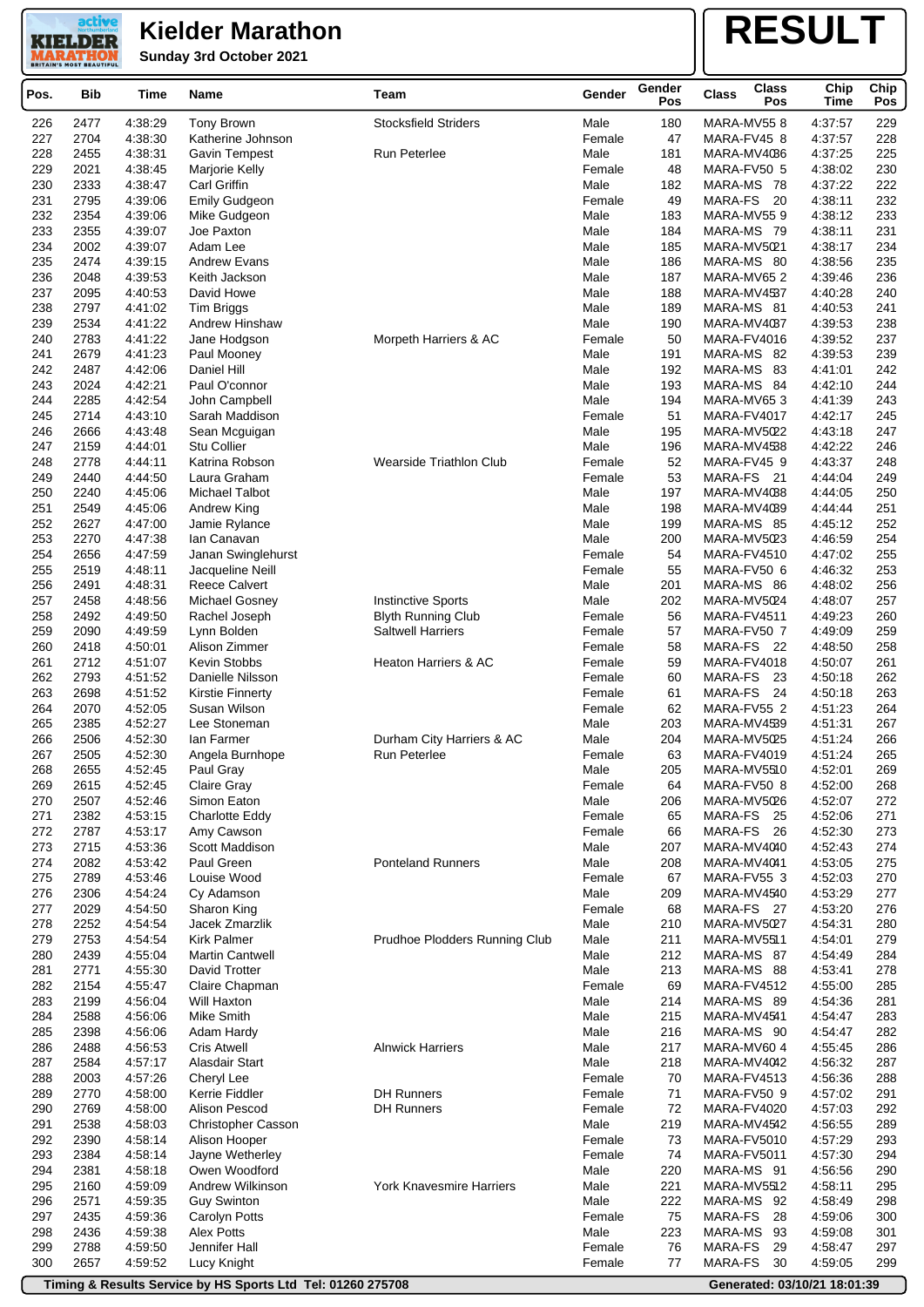**Sunday 3rd October 2021**

active **KIELDER** 

# **RESULT**

| <b>Stocksfield Striders</b><br>Male<br>180<br>MARA-MV558<br>229<br>226<br>2477<br>4:38:29<br>Tony Brown<br>4:37:57<br>227<br>2704<br>4:38:30<br>Female<br>47<br>MARA-FV45 8<br>4:37:57<br>228<br>Katherine Johnson<br>228<br>225<br>2455<br>4:38:31<br><b>Run Peterlee</b><br>Male<br>181<br>MARA-MV4086<br>4:37:25<br><b>Gavin Tempest</b><br>230<br>229<br>2021<br>48<br>4:38:02<br>4:38:45<br>Marjorie Kelly<br>Female<br>MARA-FV50 5<br>222<br>230<br>2333<br>4:38:47<br>Carl Griffin<br>Male<br>182<br>4:37:22<br>MARA-MS 78<br>231<br>232<br>2795<br>Emily Gudgeon<br>Female<br>49<br>MARA-FS 20<br>4:38:11<br>4:39:06<br>232<br>2354<br>183<br>MARA-MV559<br>4:38:12<br>233<br>4:39:06<br>Mike Gudgeon<br>Male<br>233<br>2355<br>4:39:07<br>Joe Paxton<br>Male<br>184<br>MARA-MS 79<br>4:38:11<br>231<br>234<br>234<br>2002<br>4:39:07<br>Adam Lee<br>Male<br>185<br>MARA-MV5021<br>4:38:17<br>235<br>235<br>2474<br>4:39:15<br>Male<br>186<br>MARA-MS 80<br>4:38:56<br><b>Andrew Evans</b><br>236<br>2048<br>4:39:53<br>Male<br>187<br>236<br>Keith Jackson<br>MARA-MV65 2<br>4:39:46<br>237<br>2095<br>4:40:53<br>David Howe<br>Male<br>188<br>4:40:28<br>240<br>MARA-MV4537<br>238<br>2797<br>4:41:02<br>Male<br>189<br>MARA-MS 81<br>4:40:53<br>241<br>Tim Briggs<br>239<br>2534<br>4:41:22<br>Andrew Hinshaw<br>Male<br>190<br>MARA-MV4037<br>238<br>4:39:53<br>237<br>240<br>2783<br>4:41:22<br>Morpeth Harriers & AC<br>50<br>MARA-FV4016<br>4:39:52<br>Jane Hodgson<br>Female<br>241<br>2679<br>4:41:23<br>Male<br>191<br>MARA-MS 82<br>4:39:53<br>239<br>Paul Mooney<br>242<br>242<br>2487<br>4:42:06<br>Male<br>192<br>MARA-MS 83<br>4:41:01<br>Daniel Hill<br>243<br>2024<br>4:42:21<br>Paul O'connor<br>Male<br>193<br>4:42:10<br>244<br>MARA-MS 84<br>244<br>2285<br>4:42:54<br>John Campbell<br>Male<br>194<br>MARA-MV653<br>4:41:39<br>243<br>245<br>2714<br>4:43:10<br>Female<br>51<br>MARA-FV4017<br>4:42:17<br>245<br>Sarah Maddison<br>246<br>2666<br>4:43:48<br>Male<br>195<br>4:43:18<br>247<br>Sean Mcguigan<br>MARA-MV5022<br>247<br>2159<br>4:44:01<br>Stu Collier<br>Male<br>196<br>4:42:22<br>246<br>MARA-MV4538<br>248<br>2778<br>4:44:11<br>Katrina Robson<br><b>Wearside Triathlon Club</b><br>Female<br>52<br>MARA-FV45 9<br>4:43:37<br>248<br>53<br>249<br>2440<br>249<br>4:44:50<br>Laura Graham<br>Female<br>MARA-FS 21<br>4:44:04<br>250<br>2240<br>4:45:06<br>Michael Talbot<br>Male<br>197<br>MARA-MV4038<br>4:44:05<br>250<br>251<br>2549<br>4:45:06<br>Male<br>198<br>MARA-MV4039<br>4:44:44<br>251<br>Andrew King<br>252<br>2627<br>4:47:00<br>Jamie Rylance<br>Male<br>199<br>252<br>MARA-MS 85<br>4:45:12<br>253<br>2270<br>4:47:38<br>Male<br>200<br>MARA-MV5023<br>4:46:59<br>254<br>lan Canavan<br>254<br>2656<br>4:47:59<br>Janan Swinglehurst<br>Female<br>54<br>MARA-FV4510<br>4:47:02<br>255<br>255<br>55<br>253<br>2519<br>4:48:11<br>Jacqueline Neill<br>Female<br>MARA-FV50 6<br>4:46:32<br>256<br>2491<br>4:48:31<br><b>Reece Calvert</b><br>Male<br>201<br>MARA-MS 86<br>4:48:02<br>256<br>257<br>2458<br><b>Instinctive Sports</b><br>Male<br>202<br>MARA-MV5024<br>257<br>4:48:56<br>Michael Gosney<br>4:48:07<br>258<br>260<br>2492<br>4:49:50<br><b>Blyth Running Club</b><br>56<br>4:49:23<br>Rachel Joseph<br>Female<br>MARA-FV4511<br>259<br>2090<br>4:49:59<br>Lynn Bolden<br><b>Saltwell Harriers</b><br>57<br>MARA-FV50 7<br>4:49:09<br>259<br>Female<br>260<br>2418<br>4:50:01<br>Alison Zimmer<br>58<br>MARA-FS 22<br>4:48:50<br>258<br>Female<br>261<br>2712<br>4:51:07<br>Kevin Stobbs<br>Female<br>59<br>MARA-FV4018<br>4:50:07<br>261<br><b>Heaton Harriers &amp; AC</b><br>262<br>2793<br>60<br>MARA-FS<br>262<br>4:51:52<br>Danielle Nilsson<br>Female<br>-23<br>4:50:18<br>263<br>MARA-FS 24<br>263<br>2698<br>4:51:52<br>61<br>4:50:18<br><b>Kirstie Finnerty</b><br>Female<br>264<br>2070<br>4:52:05<br>Female<br>62<br>MARA-FV55 2<br>4:51:23<br>264<br>Susan Wilson<br>265<br>2385<br>4.52.27<br>Lee Stoneman<br>Male<br>267<br>203<br>MARA-MV4539<br>4:51:31<br>266<br>2506<br>4:52:30<br>lan Farmer<br>Durham City Harriers & AC<br>Male<br>204<br>4:51:24<br>266<br>MARA-MV5025<br>267<br>2505<br>4:52:30<br>Angela Burnhope<br><b>Run Peterlee</b><br>Female<br>63<br>MARA-FV4019<br>4:51:24<br>265<br>268<br>2655<br>205<br>269<br>4:52:45<br>Paul Gray<br>Male<br>MARA-MV5510<br>4:52:01<br>269<br>4:52:45<br>Claire Gray<br>MARA-FV50 8<br>4:52:00<br>268<br>2615<br>Female<br>64<br>270<br>2507<br>4:52:46<br>Simon Eaton<br>Male<br>MARA-MV5026<br>4:52:07<br>272<br>206<br>271<br>2382<br>4:53:15<br>Charlotte Eddy<br>Female<br>MARA-FS 25<br>4:52:06<br>271<br>65<br>272<br>2787<br>4.53.17<br>Amy Cawson<br>Female<br>66<br>MARA-FS 26<br>4:52:30<br>273<br>273<br>2715<br>4:53:36<br>Scott Maddison<br>Male<br>207<br>MARA-MV4040<br>4:52:43<br>274<br>274<br>2082<br>4:53:42<br>Paul Green<br><b>Ponteland Runners</b><br>Male<br>208<br>MARA-MV4041<br>275<br>4:53:05<br>275<br>2789<br>67<br>270<br>4:53:46<br>Louise Wood<br>Female<br>MARA-FV55 3<br>4:52:03<br>276<br>2306<br>4:54:24<br>Male<br>209<br>MARA-MV4540<br>4:53:29<br>277<br>Cy Adamson<br>277<br>2029<br>4:54:50<br>Female<br>68<br>MARA-FS 27<br>4:53:20<br>276<br>Sharon King<br>278<br>2252<br>Jacek Zmarzlik<br>Male<br>280<br>4:54:54<br>210<br>MARA-MV5027<br>4:54:31<br>Prudhoe Plodders Running Club<br>279<br>2753<br>4:54:54<br><b>Kirk Palmer</b><br>Male<br>211<br>MARA-MV5511<br>4:54:01<br>279<br>280<br>2439<br>4:55:04<br><b>Martin Cantwell</b><br>Male<br>212<br>MARA-MS 87<br>284<br>4:54:49<br>281<br>David Trotter<br>Male<br>213<br>278<br>2771<br>4:55:30<br>MARA-MS 88<br>4:53:41<br>282<br>2154<br>4:55:47<br>Claire Chapman<br>Female<br>69<br>MARA-FV4512<br>4:55:00<br>285<br>283<br>2199<br>4:56:04<br>Male<br>MARA-MS 89<br>281<br>Will Haxton<br>214<br>4:54:36<br>284<br>2588<br>4:56:06<br>Mike Smith<br>Male<br>215<br>MARA-MV4541<br>283<br>4:54:47<br>285<br>2398<br>4:56:06<br>Adam Hardy<br>Male<br>216<br>MARA-MS 90<br>4:54:47<br>282<br>286<br>2488<br>4:56:53<br><b>Alnwick Harriers</b><br>Male<br>217<br>MARA-MV60 4<br>286<br>Cris Atwell<br>4:55:45<br>287<br>2584<br>4.57.17<br>Alasdair Start<br>Male<br>218<br>MARA-MV4042<br>4:56:32<br>287<br>288<br>2003<br>Female<br>4:57:26<br>Cheryl Lee<br>70<br>MARA-FV4513<br>4:56:36<br>288<br><b>DH Runners</b><br>289<br>2770<br>4:58:00<br>Kerrie Fiddler<br>Female<br>71<br>MARA-FV50 9<br>4:57:02<br>291<br>290<br>2769<br>4:58:00<br>Alison Pescod<br><b>DH Runners</b><br>Female<br>72<br>MARA-FV4020<br>292<br>4:57:03<br>291<br>2538<br>Male<br>219<br>4:58:03<br><b>Christopher Casson</b><br>MARA-MV4542<br>4:56:55<br>289<br>292<br>2390<br>4:58:14<br>73<br>MARA-FV5010<br>4:57:29<br>293<br>Alison Hooper<br>Female<br>293<br>2384<br>4:58:14<br>Jayne Wetherley<br>Female<br>74<br>MARA-FV5011<br>4:57:30<br>294<br>294<br>2381<br>4:58:18<br>Owen Woodford<br>220<br>290<br>Male<br>MARA-MS 91<br>4:56:56<br>295<br>2160<br>4:59:09<br>Andrew Wilkinson<br><b>York Knavesmire Harriers</b><br>Male<br>221<br>MARA-MV5512<br>4:58:11<br>295<br>296<br>2571<br>4:59:35<br>Male<br>222<br>MARA-MS 92<br>298<br><b>Guy Swinton</b><br>4:58:49<br>297<br>2435<br>4:59:36<br>Female<br>75<br>MARA-FS<br>28<br>300<br>Carolyn Potts<br>4:59:06<br>298<br><b>Alex Potts</b><br>Male<br>223<br>MARA-MS 93<br>301<br>2436<br>4:59:38<br>4:59:08<br>299<br>2788<br>4:59:50<br>Jennifer Hall<br>76<br>MARA-FS<br>4:58:47<br>297<br>Female<br>29<br>300<br>2657<br>Female<br>77<br>MARA-FS<br>30<br>299<br>4:59:52<br>Lucy Knight<br>4:59:05 | Pos. | <b>Bib</b> | Time | Name | Team | Gender | Gender<br>Pos | <b>Class</b> | <b>Class</b><br>Pos | Chip<br><b>Time</b> | Chip<br>Pos |
|----------------------------------------------------------------------------------------------------------------------------------------------------------------------------------------------------------------------------------------------------------------------------------------------------------------------------------------------------------------------------------------------------------------------------------------------------------------------------------------------------------------------------------------------------------------------------------------------------------------------------------------------------------------------------------------------------------------------------------------------------------------------------------------------------------------------------------------------------------------------------------------------------------------------------------------------------------------------------------------------------------------------------------------------------------------------------------------------------------------------------------------------------------------------------------------------------------------------------------------------------------------------------------------------------------------------------------------------------------------------------------------------------------------------------------------------------------------------------------------------------------------------------------------------------------------------------------------------------------------------------------------------------------------------------------------------------------------------------------------------------------------------------------------------------------------------------------------------------------------------------------------------------------------------------------------------------------------------------------------------------------------------------------------------------------------------------------------------------------------------------------------------------------------------------------------------------------------------------------------------------------------------------------------------------------------------------------------------------------------------------------------------------------------------------------------------------------------------------------------------------------------------------------------------------------------------------------------------------------------------------------------------------------------------------------------------------------------------------------------------------------------------------------------------------------------------------------------------------------------------------------------------------------------------------------------------------------------------------------------------------------------------------------------------------------------------------------------------------------------------------------------------------------------------------------------------------------------------------------------------------------------------------------------------------------------------------------------------------------------------------------------------------------------------------------------------------------------------------------------------------------------------------------------------------------------------------------------------------------------------------------------------------------------------------------------------------------------------------------------------------------------------------------------------------------------------------------------------------------------------------------------------------------------------------------------------------------------------------------------------------------------------------------------------------------------------------------------------------------------------------------------------------------------------------------------------------------------------------------------------------------------------------------------------------------------------------------------------------------------------------------------------------------------------------------------------------------------------------------------------------------------------------------------------------------------------------------------------------------------------------------------------------------------------------------------------------------------------------------------------------------------------------------------------------------------------------------------------------------------------------------------------------------------------------------------------------------------------------------------------------------------------------------------------------------------------------------------------------------------------------------------------------------------------------------------------------------------------------------------------------------------------------------------------------------------------------------------------------------------------------------------------------------------------------------------------------------------------------------------------------------------------------------------------------------------------------------------------------------------------------------------------------------------------------------------------------------------------------------------------------------------------------------------------------------------------------------------------------------------------------------------------------------------------------------------------------------------------------------------------------------------------------------------------------------------------------------------------------------------------------------------------------------------------------------------------------------------------------------------------------------------------------------------------------------------------------------------------------------------------------------------------------------------------------------------------------------------------------------------------------------------------------------------------------------------------------------------------------------------------------------------------------------------------------------------------------------------------------------------------------------------------------------------------------------------------------------------------------------------------------------------------------------------------------------------------------------------------------------------------------------------------------------------------------------------------------------------------------------------------------------------------------------------------------------------------------------------------------------------------------------------------------------------------------------------------------------------------------------------------------------------------------------------------------------------------------------------------------------------------------------------------------------------------------------------------------------------------------------------|------|------------|------|------|------|--------|---------------|--------------|---------------------|---------------------|-------------|
|                                                                                                                                                                                                                                                                                                                                                                                                                                                                                                                                                                                                                                                                                                                                                                                                                                                                                                                                                                                                                                                                                                                                                                                                                                                                                                                                                                                                                                                                                                                                                                                                                                                                                                                                                                                                                                                                                                                                                                                                                                                                                                                                                                                                                                                                                                                                                                                                                                                                                                                                                                                                                                                                                                                                                                                                                                                                                                                                                                                                                                                                                                                                                                                                                                                                                                                                                                                                                                                                                                                                                                                                                                                                                                                                                                                                                                                                                                                                                                                                                                                                                                                                                                                                                                                                                                                                                                                                                                                                                                                                                                                                                                                                                                                                                                                                                                                                                                                                                                                                                                                                                                                                                                                                                                                                                                                                                                                                                                                                                                                                                                                                                                                                                                                                                                                                                                                                                                                                                                                                                                                                                                                                                                                                                                                                                                                                                                                                                                                                                                                                                                                                                                                                                                                                                                                                                                                                                                                                                                                                                                                                                                                                                                                                                                                                                                                                                                                                                                                                                                                                                                                                                |      |            |      |      |      |        |               |              |                     |                     |             |
|                                                                                                                                                                                                                                                                                                                                                                                                                                                                                                                                                                                                                                                                                                                                                                                                                                                                                                                                                                                                                                                                                                                                                                                                                                                                                                                                                                                                                                                                                                                                                                                                                                                                                                                                                                                                                                                                                                                                                                                                                                                                                                                                                                                                                                                                                                                                                                                                                                                                                                                                                                                                                                                                                                                                                                                                                                                                                                                                                                                                                                                                                                                                                                                                                                                                                                                                                                                                                                                                                                                                                                                                                                                                                                                                                                                                                                                                                                                                                                                                                                                                                                                                                                                                                                                                                                                                                                                                                                                                                                                                                                                                                                                                                                                                                                                                                                                                                                                                                                                                                                                                                                                                                                                                                                                                                                                                                                                                                                                                                                                                                                                                                                                                                                                                                                                                                                                                                                                                                                                                                                                                                                                                                                                                                                                                                                                                                                                                                                                                                                                                                                                                                                                                                                                                                                                                                                                                                                                                                                                                                                                                                                                                                                                                                                                                                                                                                                                                                                                                                                                                                                                                                |      |            |      |      |      |        |               |              |                     |                     |             |
|                                                                                                                                                                                                                                                                                                                                                                                                                                                                                                                                                                                                                                                                                                                                                                                                                                                                                                                                                                                                                                                                                                                                                                                                                                                                                                                                                                                                                                                                                                                                                                                                                                                                                                                                                                                                                                                                                                                                                                                                                                                                                                                                                                                                                                                                                                                                                                                                                                                                                                                                                                                                                                                                                                                                                                                                                                                                                                                                                                                                                                                                                                                                                                                                                                                                                                                                                                                                                                                                                                                                                                                                                                                                                                                                                                                                                                                                                                                                                                                                                                                                                                                                                                                                                                                                                                                                                                                                                                                                                                                                                                                                                                                                                                                                                                                                                                                                                                                                                                                                                                                                                                                                                                                                                                                                                                                                                                                                                                                                                                                                                                                                                                                                                                                                                                                                                                                                                                                                                                                                                                                                                                                                                                                                                                                                                                                                                                                                                                                                                                                                                                                                                                                                                                                                                                                                                                                                                                                                                                                                                                                                                                                                                                                                                                                                                                                                                                                                                                                                                                                                                                                                                |      |            |      |      |      |        |               |              |                     |                     |             |
|                                                                                                                                                                                                                                                                                                                                                                                                                                                                                                                                                                                                                                                                                                                                                                                                                                                                                                                                                                                                                                                                                                                                                                                                                                                                                                                                                                                                                                                                                                                                                                                                                                                                                                                                                                                                                                                                                                                                                                                                                                                                                                                                                                                                                                                                                                                                                                                                                                                                                                                                                                                                                                                                                                                                                                                                                                                                                                                                                                                                                                                                                                                                                                                                                                                                                                                                                                                                                                                                                                                                                                                                                                                                                                                                                                                                                                                                                                                                                                                                                                                                                                                                                                                                                                                                                                                                                                                                                                                                                                                                                                                                                                                                                                                                                                                                                                                                                                                                                                                                                                                                                                                                                                                                                                                                                                                                                                                                                                                                                                                                                                                                                                                                                                                                                                                                                                                                                                                                                                                                                                                                                                                                                                                                                                                                                                                                                                                                                                                                                                                                                                                                                                                                                                                                                                                                                                                                                                                                                                                                                                                                                                                                                                                                                                                                                                                                                                                                                                                                                                                                                                                                                |      |            |      |      |      |        |               |              |                     |                     |             |
|                                                                                                                                                                                                                                                                                                                                                                                                                                                                                                                                                                                                                                                                                                                                                                                                                                                                                                                                                                                                                                                                                                                                                                                                                                                                                                                                                                                                                                                                                                                                                                                                                                                                                                                                                                                                                                                                                                                                                                                                                                                                                                                                                                                                                                                                                                                                                                                                                                                                                                                                                                                                                                                                                                                                                                                                                                                                                                                                                                                                                                                                                                                                                                                                                                                                                                                                                                                                                                                                                                                                                                                                                                                                                                                                                                                                                                                                                                                                                                                                                                                                                                                                                                                                                                                                                                                                                                                                                                                                                                                                                                                                                                                                                                                                                                                                                                                                                                                                                                                                                                                                                                                                                                                                                                                                                                                                                                                                                                                                                                                                                                                                                                                                                                                                                                                                                                                                                                                                                                                                                                                                                                                                                                                                                                                                                                                                                                                                                                                                                                                                                                                                                                                                                                                                                                                                                                                                                                                                                                                                                                                                                                                                                                                                                                                                                                                                                                                                                                                                                                                                                                                                                |      |            |      |      |      |        |               |              |                     |                     |             |
|                                                                                                                                                                                                                                                                                                                                                                                                                                                                                                                                                                                                                                                                                                                                                                                                                                                                                                                                                                                                                                                                                                                                                                                                                                                                                                                                                                                                                                                                                                                                                                                                                                                                                                                                                                                                                                                                                                                                                                                                                                                                                                                                                                                                                                                                                                                                                                                                                                                                                                                                                                                                                                                                                                                                                                                                                                                                                                                                                                                                                                                                                                                                                                                                                                                                                                                                                                                                                                                                                                                                                                                                                                                                                                                                                                                                                                                                                                                                                                                                                                                                                                                                                                                                                                                                                                                                                                                                                                                                                                                                                                                                                                                                                                                                                                                                                                                                                                                                                                                                                                                                                                                                                                                                                                                                                                                                                                                                                                                                                                                                                                                                                                                                                                                                                                                                                                                                                                                                                                                                                                                                                                                                                                                                                                                                                                                                                                                                                                                                                                                                                                                                                                                                                                                                                                                                                                                                                                                                                                                                                                                                                                                                                                                                                                                                                                                                                                                                                                                                                                                                                                                                                |      |            |      |      |      |        |               |              |                     |                     |             |
|                                                                                                                                                                                                                                                                                                                                                                                                                                                                                                                                                                                                                                                                                                                                                                                                                                                                                                                                                                                                                                                                                                                                                                                                                                                                                                                                                                                                                                                                                                                                                                                                                                                                                                                                                                                                                                                                                                                                                                                                                                                                                                                                                                                                                                                                                                                                                                                                                                                                                                                                                                                                                                                                                                                                                                                                                                                                                                                                                                                                                                                                                                                                                                                                                                                                                                                                                                                                                                                                                                                                                                                                                                                                                                                                                                                                                                                                                                                                                                                                                                                                                                                                                                                                                                                                                                                                                                                                                                                                                                                                                                                                                                                                                                                                                                                                                                                                                                                                                                                                                                                                                                                                                                                                                                                                                                                                                                                                                                                                                                                                                                                                                                                                                                                                                                                                                                                                                                                                                                                                                                                                                                                                                                                                                                                                                                                                                                                                                                                                                                                                                                                                                                                                                                                                                                                                                                                                                                                                                                                                                                                                                                                                                                                                                                                                                                                                                                                                                                                                                                                                                                                                                |      |            |      |      |      |        |               |              |                     |                     |             |
|                                                                                                                                                                                                                                                                                                                                                                                                                                                                                                                                                                                                                                                                                                                                                                                                                                                                                                                                                                                                                                                                                                                                                                                                                                                                                                                                                                                                                                                                                                                                                                                                                                                                                                                                                                                                                                                                                                                                                                                                                                                                                                                                                                                                                                                                                                                                                                                                                                                                                                                                                                                                                                                                                                                                                                                                                                                                                                                                                                                                                                                                                                                                                                                                                                                                                                                                                                                                                                                                                                                                                                                                                                                                                                                                                                                                                                                                                                                                                                                                                                                                                                                                                                                                                                                                                                                                                                                                                                                                                                                                                                                                                                                                                                                                                                                                                                                                                                                                                                                                                                                                                                                                                                                                                                                                                                                                                                                                                                                                                                                                                                                                                                                                                                                                                                                                                                                                                                                                                                                                                                                                                                                                                                                                                                                                                                                                                                                                                                                                                                                                                                                                                                                                                                                                                                                                                                                                                                                                                                                                                                                                                                                                                                                                                                                                                                                                                                                                                                                                                                                                                                                                                |      |            |      |      |      |        |               |              |                     |                     |             |
|                                                                                                                                                                                                                                                                                                                                                                                                                                                                                                                                                                                                                                                                                                                                                                                                                                                                                                                                                                                                                                                                                                                                                                                                                                                                                                                                                                                                                                                                                                                                                                                                                                                                                                                                                                                                                                                                                                                                                                                                                                                                                                                                                                                                                                                                                                                                                                                                                                                                                                                                                                                                                                                                                                                                                                                                                                                                                                                                                                                                                                                                                                                                                                                                                                                                                                                                                                                                                                                                                                                                                                                                                                                                                                                                                                                                                                                                                                                                                                                                                                                                                                                                                                                                                                                                                                                                                                                                                                                                                                                                                                                                                                                                                                                                                                                                                                                                                                                                                                                                                                                                                                                                                                                                                                                                                                                                                                                                                                                                                                                                                                                                                                                                                                                                                                                                                                                                                                                                                                                                                                                                                                                                                                                                                                                                                                                                                                                                                                                                                                                                                                                                                                                                                                                                                                                                                                                                                                                                                                                                                                                                                                                                                                                                                                                                                                                                                                                                                                                                                                                                                                                                                |      |            |      |      |      |        |               |              |                     |                     |             |
|                                                                                                                                                                                                                                                                                                                                                                                                                                                                                                                                                                                                                                                                                                                                                                                                                                                                                                                                                                                                                                                                                                                                                                                                                                                                                                                                                                                                                                                                                                                                                                                                                                                                                                                                                                                                                                                                                                                                                                                                                                                                                                                                                                                                                                                                                                                                                                                                                                                                                                                                                                                                                                                                                                                                                                                                                                                                                                                                                                                                                                                                                                                                                                                                                                                                                                                                                                                                                                                                                                                                                                                                                                                                                                                                                                                                                                                                                                                                                                                                                                                                                                                                                                                                                                                                                                                                                                                                                                                                                                                                                                                                                                                                                                                                                                                                                                                                                                                                                                                                                                                                                                                                                                                                                                                                                                                                                                                                                                                                                                                                                                                                                                                                                                                                                                                                                                                                                                                                                                                                                                                                                                                                                                                                                                                                                                                                                                                                                                                                                                                                                                                                                                                                                                                                                                                                                                                                                                                                                                                                                                                                                                                                                                                                                                                                                                                                                                                                                                                                                                                                                                                                                |      |            |      |      |      |        |               |              |                     |                     |             |
|                                                                                                                                                                                                                                                                                                                                                                                                                                                                                                                                                                                                                                                                                                                                                                                                                                                                                                                                                                                                                                                                                                                                                                                                                                                                                                                                                                                                                                                                                                                                                                                                                                                                                                                                                                                                                                                                                                                                                                                                                                                                                                                                                                                                                                                                                                                                                                                                                                                                                                                                                                                                                                                                                                                                                                                                                                                                                                                                                                                                                                                                                                                                                                                                                                                                                                                                                                                                                                                                                                                                                                                                                                                                                                                                                                                                                                                                                                                                                                                                                                                                                                                                                                                                                                                                                                                                                                                                                                                                                                                                                                                                                                                                                                                                                                                                                                                                                                                                                                                                                                                                                                                                                                                                                                                                                                                                                                                                                                                                                                                                                                                                                                                                                                                                                                                                                                                                                                                                                                                                                                                                                                                                                                                                                                                                                                                                                                                                                                                                                                                                                                                                                                                                                                                                                                                                                                                                                                                                                                                                                                                                                                                                                                                                                                                                                                                                                                                                                                                                                                                                                                                                                |      |            |      |      |      |        |               |              |                     |                     |             |
|                                                                                                                                                                                                                                                                                                                                                                                                                                                                                                                                                                                                                                                                                                                                                                                                                                                                                                                                                                                                                                                                                                                                                                                                                                                                                                                                                                                                                                                                                                                                                                                                                                                                                                                                                                                                                                                                                                                                                                                                                                                                                                                                                                                                                                                                                                                                                                                                                                                                                                                                                                                                                                                                                                                                                                                                                                                                                                                                                                                                                                                                                                                                                                                                                                                                                                                                                                                                                                                                                                                                                                                                                                                                                                                                                                                                                                                                                                                                                                                                                                                                                                                                                                                                                                                                                                                                                                                                                                                                                                                                                                                                                                                                                                                                                                                                                                                                                                                                                                                                                                                                                                                                                                                                                                                                                                                                                                                                                                                                                                                                                                                                                                                                                                                                                                                                                                                                                                                                                                                                                                                                                                                                                                                                                                                                                                                                                                                                                                                                                                                                                                                                                                                                                                                                                                                                                                                                                                                                                                                                                                                                                                                                                                                                                                                                                                                                                                                                                                                                                                                                                                                                                |      |            |      |      |      |        |               |              |                     |                     |             |
|                                                                                                                                                                                                                                                                                                                                                                                                                                                                                                                                                                                                                                                                                                                                                                                                                                                                                                                                                                                                                                                                                                                                                                                                                                                                                                                                                                                                                                                                                                                                                                                                                                                                                                                                                                                                                                                                                                                                                                                                                                                                                                                                                                                                                                                                                                                                                                                                                                                                                                                                                                                                                                                                                                                                                                                                                                                                                                                                                                                                                                                                                                                                                                                                                                                                                                                                                                                                                                                                                                                                                                                                                                                                                                                                                                                                                                                                                                                                                                                                                                                                                                                                                                                                                                                                                                                                                                                                                                                                                                                                                                                                                                                                                                                                                                                                                                                                                                                                                                                                                                                                                                                                                                                                                                                                                                                                                                                                                                                                                                                                                                                                                                                                                                                                                                                                                                                                                                                                                                                                                                                                                                                                                                                                                                                                                                                                                                                                                                                                                                                                                                                                                                                                                                                                                                                                                                                                                                                                                                                                                                                                                                                                                                                                                                                                                                                                                                                                                                                                                                                                                                                                                |      |            |      |      |      |        |               |              |                     |                     |             |
|                                                                                                                                                                                                                                                                                                                                                                                                                                                                                                                                                                                                                                                                                                                                                                                                                                                                                                                                                                                                                                                                                                                                                                                                                                                                                                                                                                                                                                                                                                                                                                                                                                                                                                                                                                                                                                                                                                                                                                                                                                                                                                                                                                                                                                                                                                                                                                                                                                                                                                                                                                                                                                                                                                                                                                                                                                                                                                                                                                                                                                                                                                                                                                                                                                                                                                                                                                                                                                                                                                                                                                                                                                                                                                                                                                                                                                                                                                                                                                                                                                                                                                                                                                                                                                                                                                                                                                                                                                                                                                                                                                                                                                                                                                                                                                                                                                                                                                                                                                                                                                                                                                                                                                                                                                                                                                                                                                                                                                                                                                                                                                                                                                                                                                                                                                                                                                                                                                                                                                                                                                                                                                                                                                                                                                                                                                                                                                                                                                                                                                                                                                                                                                                                                                                                                                                                                                                                                                                                                                                                                                                                                                                                                                                                                                                                                                                                                                                                                                                                                                                                                                                                                |      |            |      |      |      |        |               |              |                     |                     |             |
|                                                                                                                                                                                                                                                                                                                                                                                                                                                                                                                                                                                                                                                                                                                                                                                                                                                                                                                                                                                                                                                                                                                                                                                                                                                                                                                                                                                                                                                                                                                                                                                                                                                                                                                                                                                                                                                                                                                                                                                                                                                                                                                                                                                                                                                                                                                                                                                                                                                                                                                                                                                                                                                                                                                                                                                                                                                                                                                                                                                                                                                                                                                                                                                                                                                                                                                                                                                                                                                                                                                                                                                                                                                                                                                                                                                                                                                                                                                                                                                                                                                                                                                                                                                                                                                                                                                                                                                                                                                                                                                                                                                                                                                                                                                                                                                                                                                                                                                                                                                                                                                                                                                                                                                                                                                                                                                                                                                                                                                                                                                                                                                                                                                                                                                                                                                                                                                                                                                                                                                                                                                                                                                                                                                                                                                                                                                                                                                                                                                                                                                                                                                                                                                                                                                                                                                                                                                                                                                                                                                                                                                                                                                                                                                                                                                                                                                                                                                                                                                                                                                                                                                                                |      |            |      |      |      |        |               |              |                     |                     |             |
|                                                                                                                                                                                                                                                                                                                                                                                                                                                                                                                                                                                                                                                                                                                                                                                                                                                                                                                                                                                                                                                                                                                                                                                                                                                                                                                                                                                                                                                                                                                                                                                                                                                                                                                                                                                                                                                                                                                                                                                                                                                                                                                                                                                                                                                                                                                                                                                                                                                                                                                                                                                                                                                                                                                                                                                                                                                                                                                                                                                                                                                                                                                                                                                                                                                                                                                                                                                                                                                                                                                                                                                                                                                                                                                                                                                                                                                                                                                                                                                                                                                                                                                                                                                                                                                                                                                                                                                                                                                                                                                                                                                                                                                                                                                                                                                                                                                                                                                                                                                                                                                                                                                                                                                                                                                                                                                                                                                                                                                                                                                                                                                                                                                                                                                                                                                                                                                                                                                                                                                                                                                                                                                                                                                                                                                                                                                                                                                                                                                                                                                                                                                                                                                                                                                                                                                                                                                                                                                                                                                                                                                                                                                                                                                                                                                                                                                                                                                                                                                                                                                                                                                                                |      |            |      |      |      |        |               |              |                     |                     |             |
|                                                                                                                                                                                                                                                                                                                                                                                                                                                                                                                                                                                                                                                                                                                                                                                                                                                                                                                                                                                                                                                                                                                                                                                                                                                                                                                                                                                                                                                                                                                                                                                                                                                                                                                                                                                                                                                                                                                                                                                                                                                                                                                                                                                                                                                                                                                                                                                                                                                                                                                                                                                                                                                                                                                                                                                                                                                                                                                                                                                                                                                                                                                                                                                                                                                                                                                                                                                                                                                                                                                                                                                                                                                                                                                                                                                                                                                                                                                                                                                                                                                                                                                                                                                                                                                                                                                                                                                                                                                                                                                                                                                                                                                                                                                                                                                                                                                                                                                                                                                                                                                                                                                                                                                                                                                                                                                                                                                                                                                                                                                                                                                                                                                                                                                                                                                                                                                                                                                                                                                                                                                                                                                                                                                                                                                                                                                                                                                                                                                                                                                                                                                                                                                                                                                                                                                                                                                                                                                                                                                                                                                                                                                                                                                                                                                                                                                                                                                                                                                                                                                                                                                                                |      |            |      |      |      |        |               |              |                     |                     |             |
|                                                                                                                                                                                                                                                                                                                                                                                                                                                                                                                                                                                                                                                                                                                                                                                                                                                                                                                                                                                                                                                                                                                                                                                                                                                                                                                                                                                                                                                                                                                                                                                                                                                                                                                                                                                                                                                                                                                                                                                                                                                                                                                                                                                                                                                                                                                                                                                                                                                                                                                                                                                                                                                                                                                                                                                                                                                                                                                                                                                                                                                                                                                                                                                                                                                                                                                                                                                                                                                                                                                                                                                                                                                                                                                                                                                                                                                                                                                                                                                                                                                                                                                                                                                                                                                                                                                                                                                                                                                                                                                                                                                                                                                                                                                                                                                                                                                                                                                                                                                                                                                                                                                                                                                                                                                                                                                                                                                                                                                                                                                                                                                                                                                                                                                                                                                                                                                                                                                                                                                                                                                                                                                                                                                                                                                                                                                                                                                                                                                                                                                                                                                                                                                                                                                                                                                                                                                                                                                                                                                                                                                                                                                                                                                                                                                                                                                                                                                                                                                                                                                                                                                                                |      |            |      |      |      |        |               |              |                     |                     |             |
|                                                                                                                                                                                                                                                                                                                                                                                                                                                                                                                                                                                                                                                                                                                                                                                                                                                                                                                                                                                                                                                                                                                                                                                                                                                                                                                                                                                                                                                                                                                                                                                                                                                                                                                                                                                                                                                                                                                                                                                                                                                                                                                                                                                                                                                                                                                                                                                                                                                                                                                                                                                                                                                                                                                                                                                                                                                                                                                                                                                                                                                                                                                                                                                                                                                                                                                                                                                                                                                                                                                                                                                                                                                                                                                                                                                                                                                                                                                                                                                                                                                                                                                                                                                                                                                                                                                                                                                                                                                                                                                                                                                                                                                                                                                                                                                                                                                                                                                                                                                                                                                                                                                                                                                                                                                                                                                                                                                                                                                                                                                                                                                                                                                                                                                                                                                                                                                                                                                                                                                                                                                                                                                                                                                                                                                                                                                                                                                                                                                                                                                                                                                                                                                                                                                                                                                                                                                                                                                                                                                                                                                                                                                                                                                                                                                                                                                                                                                                                                                                                                                                                                                                                |      |            |      |      |      |        |               |              |                     |                     |             |
|                                                                                                                                                                                                                                                                                                                                                                                                                                                                                                                                                                                                                                                                                                                                                                                                                                                                                                                                                                                                                                                                                                                                                                                                                                                                                                                                                                                                                                                                                                                                                                                                                                                                                                                                                                                                                                                                                                                                                                                                                                                                                                                                                                                                                                                                                                                                                                                                                                                                                                                                                                                                                                                                                                                                                                                                                                                                                                                                                                                                                                                                                                                                                                                                                                                                                                                                                                                                                                                                                                                                                                                                                                                                                                                                                                                                                                                                                                                                                                                                                                                                                                                                                                                                                                                                                                                                                                                                                                                                                                                                                                                                                                                                                                                                                                                                                                                                                                                                                                                                                                                                                                                                                                                                                                                                                                                                                                                                                                                                                                                                                                                                                                                                                                                                                                                                                                                                                                                                                                                                                                                                                                                                                                                                                                                                                                                                                                                                                                                                                                                                                                                                                                                                                                                                                                                                                                                                                                                                                                                                                                                                                                                                                                                                                                                                                                                                                                                                                                                                                                                                                                                                                |      |            |      |      |      |        |               |              |                     |                     |             |
|                                                                                                                                                                                                                                                                                                                                                                                                                                                                                                                                                                                                                                                                                                                                                                                                                                                                                                                                                                                                                                                                                                                                                                                                                                                                                                                                                                                                                                                                                                                                                                                                                                                                                                                                                                                                                                                                                                                                                                                                                                                                                                                                                                                                                                                                                                                                                                                                                                                                                                                                                                                                                                                                                                                                                                                                                                                                                                                                                                                                                                                                                                                                                                                                                                                                                                                                                                                                                                                                                                                                                                                                                                                                                                                                                                                                                                                                                                                                                                                                                                                                                                                                                                                                                                                                                                                                                                                                                                                                                                                                                                                                                                                                                                                                                                                                                                                                                                                                                                                                                                                                                                                                                                                                                                                                                                                                                                                                                                                                                                                                                                                                                                                                                                                                                                                                                                                                                                                                                                                                                                                                                                                                                                                                                                                                                                                                                                                                                                                                                                                                                                                                                                                                                                                                                                                                                                                                                                                                                                                                                                                                                                                                                                                                                                                                                                                                                                                                                                                                                                                                                                                                                |      |            |      |      |      |        |               |              |                     |                     |             |
|                                                                                                                                                                                                                                                                                                                                                                                                                                                                                                                                                                                                                                                                                                                                                                                                                                                                                                                                                                                                                                                                                                                                                                                                                                                                                                                                                                                                                                                                                                                                                                                                                                                                                                                                                                                                                                                                                                                                                                                                                                                                                                                                                                                                                                                                                                                                                                                                                                                                                                                                                                                                                                                                                                                                                                                                                                                                                                                                                                                                                                                                                                                                                                                                                                                                                                                                                                                                                                                                                                                                                                                                                                                                                                                                                                                                                                                                                                                                                                                                                                                                                                                                                                                                                                                                                                                                                                                                                                                                                                                                                                                                                                                                                                                                                                                                                                                                                                                                                                                                                                                                                                                                                                                                                                                                                                                                                                                                                                                                                                                                                                                                                                                                                                                                                                                                                                                                                                                                                                                                                                                                                                                                                                                                                                                                                                                                                                                                                                                                                                                                                                                                                                                                                                                                                                                                                                                                                                                                                                                                                                                                                                                                                                                                                                                                                                                                                                                                                                                                                                                                                                                                                |      |            |      |      |      |        |               |              |                     |                     |             |
|                                                                                                                                                                                                                                                                                                                                                                                                                                                                                                                                                                                                                                                                                                                                                                                                                                                                                                                                                                                                                                                                                                                                                                                                                                                                                                                                                                                                                                                                                                                                                                                                                                                                                                                                                                                                                                                                                                                                                                                                                                                                                                                                                                                                                                                                                                                                                                                                                                                                                                                                                                                                                                                                                                                                                                                                                                                                                                                                                                                                                                                                                                                                                                                                                                                                                                                                                                                                                                                                                                                                                                                                                                                                                                                                                                                                                                                                                                                                                                                                                                                                                                                                                                                                                                                                                                                                                                                                                                                                                                                                                                                                                                                                                                                                                                                                                                                                                                                                                                                                                                                                                                                                                                                                                                                                                                                                                                                                                                                                                                                                                                                                                                                                                                                                                                                                                                                                                                                                                                                                                                                                                                                                                                                                                                                                                                                                                                                                                                                                                                                                                                                                                                                                                                                                                                                                                                                                                                                                                                                                                                                                                                                                                                                                                                                                                                                                                                                                                                                                                                                                                                                                                |      |            |      |      |      |        |               |              |                     |                     |             |
|                                                                                                                                                                                                                                                                                                                                                                                                                                                                                                                                                                                                                                                                                                                                                                                                                                                                                                                                                                                                                                                                                                                                                                                                                                                                                                                                                                                                                                                                                                                                                                                                                                                                                                                                                                                                                                                                                                                                                                                                                                                                                                                                                                                                                                                                                                                                                                                                                                                                                                                                                                                                                                                                                                                                                                                                                                                                                                                                                                                                                                                                                                                                                                                                                                                                                                                                                                                                                                                                                                                                                                                                                                                                                                                                                                                                                                                                                                                                                                                                                                                                                                                                                                                                                                                                                                                                                                                                                                                                                                                                                                                                                                                                                                                                                                                                                                                                                                                                                                                                                                                                                                                                                                                                                                                                                                                                                                                                                                                                                                                                                                                                                                                                                                                                                                                                                                                                                                                                                                                                                                                                                                                                                                                                                                                                                                                                                                                                                                                                                                                                                                                                                                                                                                                                                                                                                                                                                                                                                                                                                                                                                                                                                                                                                                                                                                                                                                                                                                                                                                                                                                                                                |      |            |      |      |      |        |               |              |                     |                     |             |
|                                                                                                                                                                                                                                                                                                                                                                                                                                                                                                                                                                                                                                                                                                                                                                                                                                                                                                                                                                                                                                                                                                                                                                                                                                                                                                                                                                                                                                                                                                                                                                                                                                                                                                                                                                                                                                                                                                                                                                                                                                                                                                                                                                                                                                                                                                                                                                                                                                                                                                                                                                                                                                                                                                                                                                                                                                                                                                                                                                                                                                                                                                                                                                                                                                                                                                                                                                                                                                                                                                                                                                                                                                                                                                                                                                                                                                                                                                                                                                                                                                                                                                                                                                                                                                                                                                                                                                                                                                                                                                                                                                                                                                                                                                                                                                                                                                                                                                                                                                                                                                                                                                                                                                                                                                                                                                                                                                                                                                                                                                                                                                                                                                                                                                                                                                                                                                                                                                                                                                                                                                                                                                                                                                                                                                                                                                                                                                                                                                                                                                                                                                                                                                                                                                                                                                                                                                                                                                                                                                                                                                                                                                                                                                                                                                                                                                                                                                                                                                                                                                                                                                                                                |      |            |      |      |      |        |               |              |                     |                     |             |
|                                                                                                                                                                                                                                                                                                                                                                                                                                                                                                                                                                                                                                                                                                                                                                                                                                                                                                                                                                                                                                                                                                                                                                                                                                                                                                                                                                                                                                                                                                                                                                                                                                                                                                                                                                                                                                                                                                                                                                                                                                                                                                                                                                                                                                                                                                                                                                                                                                                                                                                                                                                                                                                                                                                                                                                                                                                                                                                                                                                                                                                                                                                                                                                                                                                                                                                                                                                                                                                                                                                                                                                                                                                                                                                                                                                                                                                                                                                                                                                                                                                                                                                                                                                                                                                                                                                                                                                                                                                                                                                                                                                                                                                                                                                                                                                                                                                                                                                                                                                                                                                                                                                                                                                                                                                                                                                                                                                                                                                                                                                                                                                                                                                                                                                                                                                                                                                                                                                                                                                                                                                                                                                                                                                                                                                                                                                                                                                                                                                                                                                                                                                                                                                                                                                                                                                                                                                                                                                                                                                                                                                                                                                                                                                                                                                                                                                                                                                                                                                                                                                                                                                                                |      |            |      |      |      |        |               |              |                     |                     |             |
|                                                                                                                                                                                                                                                                                                                                                                                                                                                                                                                                                                                                                                                                                                                                                                                                                                                                                                                                                                                                                                                                                                                                                                                                                                                                                                                                                                                                                                                                                                                                                                                                                                                                                                                                                                                                                                                                                                                                                                                                                                                                                                                                                                                                                                                                                                                                                                                                                                                                                                                                                                                                                                                                                                                                                                                                                                                                                                                                                                                                                                                                                                                                                                                                                                                                                                                                                                                                                                                                                                                                                                                                                                                                                                                                                                                                                                                                                                                                                                                                                                                                                                                                                                                                                                                                                                                                                                                                                                                                                                                                                                                                                                                                                                                                                                                                                                                                                                                                                                                                                                                                                                                                                                                                                                                                                                                                                                                                                                                                                                                                                                                                                                                                                                                                                                                                                                                                                                                                                                                                                                                                                                                                                                                                                                                                                                                                                                                                                                                                                                                                                                                                                                                                                                                                                                                                                                                                                                                                                                                                                                                                                                                                                                                                                                                                                                                                                                                                                                                                                                                                                                                                                |      |            |      |      |      |        |               |              |                     |                     |             |
|                                                                                                                                                                                                                                                                                                                                                                                                                                                                                                                                                                                                                                                                                                                                                                                                                                                                                                                                                                                                                                                                                                                                                                                                                                                                                                                                                                                                                                                                                                                                                                                                                                                                                                                                                                                                                                                                                                                                                                                                                                                                                                                                                                                                                                                                                                                                                                                                                                                                                                                                                                                                                                                                                                                                                                                                                                                                                                                                                                                                                                                                                                                                                                                                                                                                                                                                                                                                                                                                                                                                                                                                                                                                                                                                                                                                                                                                                                                                                                                                                                                                                                                                                                                                                                                                                                                                                                                                                                                                                                                                                                                                                                                                                                                                                                                                                                                                                                                                                                                                                                                                                                                                                                                                                                                                                                                                                                                                                                                                                                                                                                                                                                                                                                                                                                                                                                                                                                                                                                                                                                                                                                                                                                                                                                                                                                                                                                                                                                                                                                                                                                                                                                                                                                                                                                                                                                                                                                                                                                                                                                                                                                                                                                                                                                                                                                                                                                                                                                                                                                                                                                                                                |      |            |      |      |      |        |               |              |                     |                     |             |
|                                                                                                                                                                                                                                                                                                                                                                                                                                                                                                                                                                                                                                                                                                                                                                                                                                                                                                                                                                                                                                                                                                                                                                                                                                                                                                                                                                                                                                                                                                                                                                                                                                                                                                                                                                                                                                                                                                                                                                                                                                                                                                                                                                                                                                                                                                                                                                                                                                                                                                                                                                                                                                                                                                                                                                                                                                                                                                                                                                                                                                                                                                                                                                                                                                                                                                                                                                                                                                                                                                                                                                                                                                                                                                                                                                                                                                                                                                                                                                                                                                                                                                                                                                                                                                                                                                                                                                                                                                                                                                                                                                                                                                                                                                                                                                                                                                                                                                                                                                                                                                                                                                                                                                                                                                                                                                                                                                                                                                                                                                                                                                                                                                                                                                                                                                                                                                                                                                                                                                                                                                                                                                                                                                                                                                                                                                                                                                                                                                                                                                                                                                                                                                                                                                                                                                                                                                                                                                                                                                                                                                                                                                                                                                                                                                                                                                                                                                                                                                                                                                                                                                                                                |      |            |      |      |      |        |               |              |                     |                     |             |
|                                                                                                                                                                                                                                                                                                                                                                                                                                                                                                                                                                                                                                                                                                                                                                                                                                                                                                                                                                                                                                                                                                                                                                                                                                                                                                                                                                                                                                                                                                                                                                                                                                                                                                                                                                                                                                                                                                                                                                                                                                                                                                                                                                                                                                                                                                                                                                                                                                                                                                                                                                                                                                                                                                                                                                                                                                                                                                                                                                                                                                                                                                                                                                                                                                                                                                                                                                                                                                                                                                                                                                                                                                                                                                                                                                                                                                                                                                                                                                                                                                                                                                                                                                                                                                                                                                                                                                                                                                                                                                                                                                                                                                                                                                                                                                                                                                                                                                                                                                                                                                                                                                                                                                                                                                                                                                                                                                                                                                                                                                                                                                                                                                                                                                                                                                                                                                                                                                                                                                                                                                                                                                                                                                                                                                                                                                                                                                                                                                                                                                                                                                                                                                                                                                                                                                                                                                                                                                                                                                                                                                                                                                                                                                                                                                                                                                                                                                                                                                                                                                                                                                                                                |      |            |      |      |      |        |               |              |                     |                     |             |
|                                                                                                                                                                                                                                                                                                                                                                                                                                                                                                                                                                                                                                                                                                                                                                                                                                                                                                                                                                                                                                                                                                                                                                                                                                                                                                                                                                                                                                                                                                                                                                                                                                                                                                                                                                                                                                                                                                                                                                                                                                                                                                                                                                                                                                                                                                                                                                                                                                                                                                                                                                                                                                                                                                                                                                                                                                                                                                                                                                                                                                                                                                                                                                                                                                                                                                                                                                                                                                                                                                                                                                                                                                                                                                                                                                                                                                                                                                                                                                                                                                                                                                                                                                                                                                                                                                                                                                                                                                                                                                                                                                                                                                                                                                                                                                                                                                                                                                                                                                                                                                                                                                                                                                                                                                                                                                                                                                                                                                                                                                                                                                                                                                                                                                                                                                                                                                                                                                                                                                                                                                                                                                                                                                                                                                                                                                                                                                                                                                                                                                                                                                                                                                                                                                                                                                                                                                                                                                                                                                                                                                                                                                                                                                                                                                                                                                                                                                                                                                                                                                                                                                                                                |      |            |      |      |      |        |               |              |                     |                     |             |
|                                                                                                                                                                                                                                                                                                                                                                                                                                                                                                                                                                                                                                                                                                                                                                                                                                                                                                                                                                                                                                                                                                                                                                                                                                                                                                                                                                                                                                                                                                                                                                                                                                                                                                                                                                                                                                                                                                                                                                                                                                                                                                                                                                                                                                                                                                                                                                                                                                                                                                                                                                                                                                                                                                                                                                                                                                                                                                                                                                                                                                                                                                                                                                                                                                                                                                                                                                                                                                                                                                                                                                                                                                                                                                                                                                                                                                                                                                                                                                                                                                                                                                                                                                                                                                                                                                                                                                                                                                                                                                                                                                                                                                                                                                                                                                                                                                                                                                                                                                                                                                                                                                                                                                                                                                                                                                                                                                                                                                                                                                                                                                                                                                                                                                                                                                                                                                                                                                                                                                                                                                                                                                                                                                                                                                                                                                                                                                                                                                                                                                                                                                                                                                                                                                                                                                                                                                                                                                                                                                                                                                                                                                                                                                                                                                                                                                                                                                                                                                                                                                                                                                                                                |      |            |      |      |      |        |               |              |                     |                     |             |
|                                                                                                                                                                                                                                                                                                                                                                                                                                                                                                                                                                                                                                                                                                                                                                                                                                                                                                                                                                                                                                                                                                                                                                                                                                                                                                                                                                                                                                                                                                                                                                                                                                                                                                                                                                                                                                                                                                                                                                                                                                                                                                                                                                                                                                                                                                                                                                                                                                                                                                                                                                                                                                                                                                                                                                                                                                                                                                                                                                                                                                                                                                                                                                                                                                                                                                                                                                                                                                                                                                                                                                                                                                                                                                                                                                                                                                                                                                                                                                                                                                                                                                                                                                                                                                                                                                                                                                                                                                                                                                                                                                                                                                                                                                                                                                                                                                                                                                                                                                                                                                                                                                                                                                                                                                                                                                                                                                                                                                                                                                                                                                                                                                                                                                                                                                                                                                                                                                                                                                                                                                                                                                                                                                                                                                                                                                                                                                                                                                                                                                                                                                                                                                                                                                                                                                                                                                                                                                                                                                                                                                                                                                                                                                                                                                                                                                                                                                                                                                                                                                                                                                                                                |      |            |      |      |      |        |               |              |                     |                     |             |
|                                                                                                                                                                                                                                                                                                                                                                                                                                                                                                                                                                                                                                                                                                                                                                                                                                                                                                                                                                                                                                                                                                                                                                                                                                                                                                                                                                                                                                                                                                                                                                                                                                                                                                                                                                                                                                                                                                                                                                                                                                                                                                                                                                                                                                                                                                                                                                                                                                                                                                                                                                                                                                                                                                                                                                                                                                                                                                                                                                                                                                                                                                                                                                                                                                                                                                                                                                                                                                                                                                                                                                                                                                                                                                                                                                                                                                                                                                                                                                                                                                                                                                                                                                                                                                                                                                                                                                                                                                                                                                                                                                                                                                                                                                                                                                                                                                                                                                                                                                                                                                                                                                                                                                                                                                                                                                                                                                                                                                                                                                                                                                                                                                                                                                                                                                                                                                                                                                                                                                                                                                                                                                                                                                                                                                                                                                                                                                                                                                                                                                                                                                                                                                                                                                                                                                                                                                                                                                                                                                                                                                                                                                                                                                                                                                                                                                                                                                                                                                                                                                                                                                                                                |      |            |      |      |      |        |               |              |                     |                     |             |
|                                                                                                                                                                                                                                                                                                                                                                                                                                                                                                                                                                                                                                                                                                                                                                                                                                                                                                                                                                                                                                                                                                                                                                                                                                                                                                                                                                                                                                                                                                                                                                                                                                                                                                                                                                                                                                                                                                                                                                                                                                                                                                                                                                                                                                                                                                                                                                                                                                                                                                                                                                                                                                                                                                                                                                                                                                                                                                                                                                                                                                                                                                                                                                                                                                                                                                                                                                                                                                                                                                                                                                                                                                                                                                                                                                                                                                                                                                                                                                                                                                                                                                                                                                                                                                                                                                                                                                                                                                                                                                                                                                                                                                                                                                                                                                                                                                                                                                                                                                                                                                                                                                                                                                                                                                                                                                                                                                                                                                                                                                                                                                                                                                                                                                                                                                                                                                                                                                                                                                                                                                                                                                                                                                                                                                                                                                                                                                                                                                                                                                                                                                                                                                                                                                                                                                                                                                                                                                                                                                                                                                                                                                                                                                                                                                                                                                                                                                                                                                                                                                                                                                                                                |      |            |      |      |      |        |               |              |                     |                     |             |
|                                                                                                                                                                                                                                                                                                                                                                                                                                                                                                                                                                                                                                                                                                                                                                                                                                                                                                                                                                                                                                                                                                                                                                                                                                                                                                                                                                                                                                                                                                                                                                                                                                                                                                                                                                                                                                                                                                                                                                                                                                                                                                                                                                                                                                                                                                                                                                                                                                                                                                                                                                                                                                                                                                                                                                                                                                                                                                                                                                                                                                                                                                                                                                                                                                                                                                                                                                                                                                                                                                                                                                                                                                                                                                                                                                                                                                                                                                                                                                                                                                                                                                                                                                                                                                                                                                                                                                                                                                                                                                                                                                                                                                                                                                                                                                                                                                                                                                                                                                                                                                                                                                                                                                                                                                                                                                                                                                                                                                                                                                                                                                                                                                                                                                                                                                                                                                                                                                                                                                                                                                                                                                                                                                                                                                                                                                                                                                                                                                                                                                                                                                                                                                                                                                                                                                                                                                                                                                                                                                                                                                                                                                                                                                                                                                                                                                                                                                                                                                                                                                                                                                                                                |      |            |      |      |      |        |               |              |                     |                     |             |
|                                                                                                                                                                                                                                                                                                                                                                                                                                                                                                                                                                                                                                                                                                                                                                                                                                                                                                                                                                                                                                                                                                                                                                                                                                                                                                                                                                                                                                                                                                                                                                                                                                                                                                                                                                                                                                                                                                                                                                                                                                                                                                                                                                                                                                                                                                                                                                                                                                                                                                                                                                                                                                                                                                                                                                                                                                                                                                                                                                                                                                                                                                                                                                                                                                                                                                                                                                                                                                                                                                                                                                                                                                                                                                                                                                                                                                                                                                                                                                                                                                                                                                                                                                                                                                                                                                                                                                                                                                                                                                                                                                                                                                                                                                                                                                                                                                                                                                                                                                                                                                                                                                                                                                                                                                                                                                                                                                                                                                                                                                                                                                                                                                                                                                                                                                                                                                                                                                                                                                                                                                                                                                                                                                                                                                                                                                                                                                                                                                                                                                                                                                                                                                                                                                                                                                                                                                                                                                                                                                                                                                                                                                                                                                                                                                                                                                                                                                                                                                                                                                                                                                                                                |      |            |      |      |      |        |               |              |                     |                     |             |
|                                                                                                                                                                                                                                                                                                                                                                                                                                                                                                                                                                                                                                                                                                                                                                                                                                                                                                                                                                                                                                                                                                                                                                                                                                                                                                                                                                                                                                                                                                                                                                                                                                                                                                                                                                                                                                                                                                                                                                                                                                                                                                                                                                                                                                                                                                                                                                                                                                                                                                                                                                                                                                                                                                                                                                                                                                                                                                                                                                                                                                                                                                                                                                                                                                                                                                                                                                                                                                                                                                                                                                                                                                                                                                                                                                                                                                                                                                                                                                                                                                                                                                                                                                                                                                                                                                                                                                                                                                                                                                                                                                                                                                                                                                                                                                                                                                                                                                                                                                                                                                                                                                                                                                                                                                                                                                                                                                                                                                                                                                                                                                                                                                                                                                                                                                                                                                                                                                                                                                                                                                                                                                                                                                                                                                                                                                                                                                                                                                                                                                                                                                                                                                                                                                                                                                                                                                                                                                                                                                                                                                                                                                                                                                                                                                                                                                                                                                                                                                                                                                                                                                                                                |      |            |      |      |      |        |               |              |                     |                     |             |
|                                                                                                                                                                                                                                                                                                                                                                                                                                                                                                                                                                                                                                                                                                                                                                                                                                                                                                                                                                                                                                                                                                                                                                                                                                                                                                                                                                                                                                                                                                                                                                                                                                                                                                                                                                                                                                                                                                                                                                                                                                                                                                                                                                                                                                                                                                                                                                                                                                                                                                                                                                                                                                                                                                                                                                                                                                                                                                                                                                                                                                                                                                                                                                                                                                                                                                                                                                                                                                                                                                                                                                                                                                                                                                                                                                                                                                                                                                                                                                                                                                                                                                                                                                                                                                                                                                                                                                                                                                                                                                                                                                                                                                                                                                                                                                                                                                                                                                                                                                                                                                                                                                                                                                                                                                                                                                                                                                                                                                                                                                                                                                                                                                                                                                                                                                                                                                                                                                                                                                                                                                                                                                                                                                                                                                                                                                                                                                                                                                                                                                                                                                                                                                                                                                                                                                                                                                                                                                                                                                                                                                                                                                                                                                                                                                                                                                                                                                                                                                                                                                                                                                                                                |      |            |      |      |      |        |               |              |                     |                     |             |
|                                                                                                                                                                                                                                                                                                                                                                                                                                                                                                                                                                                                                                                                                                                                                                                                                                                                                                                                                                                                                                                                                                                                                                                                                                                                                                                                                                                                                                                                                                                                                                                                                                                                                                                                                                                                                                                                                                                                                                                                                                                                                                                                                                                                                                                                                                                                                                                                                                                                                                                                                                                                                                                                                                                                                                                                                                                                                                                                                                                                                                                                                                                                                                                                                                                                                                                                                                                                                                                                                                                                                                                                                                                                                                                                                                                                                                                                                                                                                                                                                                                                                                                                                                                                                                                                                                                                                                                                                                                                                                                                                                                                                                                                                                                                                                                                                                                                                                                                                                                                                                                                                                                                                                                                                                                                                                                                                                                                                                                                                                                                                                                                                                                                                                                                                                                                                                                                                                                                                                                                                                                                                                                                                                                                                                                                                                                                                                                                                                                                                                                                                                                                                                                                                                                                                                                                                                                                                                                                                                                                                                                                                                                                                                                                                                                                                                                                                                                                                                                                                                                                                                                                                |      |            |      |      |      |        |               |              |                     |                     |             |
|                                                                                                                                                                                                                                                                                                                                                                                                                                                                                                                                                                                                                                                                                                                                                                                                                                                                                                                                                                                                                                                                                                                                                                                                                                                                                                                                                                                                                                                                                                                                                                                                                                                                                                                                                                                                                                                                                                                                                                                                                                                                                                                                                                                                                                                                                                                                                                                                                                                                                                                                                                                                                                                                                                                                                                                                                                                                                                                                                                                                                                                                                                                                                                                                                                                                                                                                                                                                                                                                                                                                                                                                                                                                                                                                                                                                                                                                                                                                                                                                                                                                                                                                                                                                                                                                                                                                                                                                                                                                                                                                                                                                                                                                                                                                                                                                                                                                                                                                                                                                                                                                                                                                                                                                                                                                                                                                                                                                                                                                                                                                                                                                                                                                                                                                                                                                                                                                                                                                                                                                                                                                                                                                                                                                                                                                                                                                                                                                                                                                                                                                                                                                                                                                                                                                                                                                                                                                                                                                                                                                                                                                                                                                                                                                                                                                                                                                                                                                                                                                                                                                                                                                                |      |            |      |      |      |        |               |              |                     |                     |             |
|                                                                                                                                                                                                                                                                                                                                                                                                                                                                                                                                                                                                                                                                                                                                                                                                                                                                                                                                                                                                                                                                                                                                                                                                                                                                                                                                                                                                                                                                                                                                                                                                                                                                                                                                                                                                                                                                                                                                                                                                                                                                                                                                                                                                                                                                                                                                                                                                                                                                                                                                                                                                                                                                                                                                                                                                                                                                                                                                                                                                                                                                                                                                                                                                                                                                                                                                                                                                                                                                                                                                                                                                                                                                                                                                                                                                                                                                                                                                                                                                                                                                                                                                                                                                                                                                                                                                                                                                                                                                                                                                                                                                                                                                                                                                                                                                                                                                                                                                                                                                                                                                                                                                                                                                                                                                                                                                                                                                                                                                                                                                                                                                                                                                                                                                                                                                                                                                                                                                                                                                                                                                                                                                                                                                                                                                                                                                                                                                                                                                                                                                                                                                                                                                                                                                                                                                                                                                                                                                                                                                                                                                                                                                                                                                                                                                                                                                                                                                                                                                                                                                                                                                                |      |            |      |      |      |        |               |              |                     |                     |             |
|                                                                                                                                                                                                                                                                                                                                                                                                                                                                                                                                                                                                                                                                                                                                                                                                                                                                                                                                                                                                                                                                                                                                                                                                                                                                                                                                                                                                                                                                                                                                                                                                                                                                                                                                                                                                                                                                                                                                                                                                                                                                                                                                                                                                                                                                                                                                                                                                                                                                                                                                                                                                                                                                                                                                                                                                                                                                                                                                                                                                                                                                                                                                                                                                                                                                                                                                                                                                                                                                                                                                                                                                                                                                                                                                                                                                                                                                                                                                                                                                                                                                                                                                                                                                                                                                                                                                                                                                                                                                                                                                                                                                                                                                                                                                                                                                                                                                                                                                                                                                                                                                                                                                                                                                                                                                                                                                                                                                                                                                                                                                                                                                                                                                                                                                                                                                                                                                                                                                                                                                                                                                                                                                                                                                                                                                                                                                                                                                                                                                                                                                                                                                                                                                                                                                                                                                                                                                                                                                                                                                                                                                                                                                                                                                                                                                                                                                                                                                                                                                                                                                                                                                                |      |            |      |      |      |        |               |              |                     |                     |             |
|                                                                                                                                                                                                                                                                                                                                                                                                                                                                                                                                                                                                                                                                                                                                                                                                                                                                                                                                                                                                                                                                                                                                                                                                                                                                                                                                                                                                                                                                                                                                                                                                                                                                                                                                                                                                                                                                                                                                                                                                                                                                                                                                                                                                                                                                                                                                                                                                                                                                                                                                                                                                                                                                                                                                                                                                                                                                                                                                                                                                                                                                                                                                                                                                                                                                                                                                                                                                                                                                                                                                                                                                                                                                                                                                                                                                                                                                                                                                                                                                                                                                                                                                                                                                                                                                                                                                                                                                                                                                                                                                                                                                                                                                                                                                                                                                                                                                                                                                                                                                                                                                                                                                                                                                                                                                                                                                                                                                                                                                                                                                                                                                                                                                                                                                                                                                                                                                                                                                                                                                                                                                                                                                                                                                                                                                                                                                                                                                                                                                                                                                                                                                                                                                                                                                                                                                                                                                                                                                                                                                                                                                                                                                                                                                                                                                                                                                                                                                                                                                                                                                                                                                                |      |            |      |      |      |        |               |              |                     |                     |             |
|                                                                                                                                                                                                                                                                                                                                                                                                                                                                                                                                                                                                                                                                                                                                                                                                                                                                                                                                                                                                                                                                                                                                                                                                                                                                                                                                                                                                                                                                                                                                                                                                                                                                                                                                                                                                                                                                                                                                                                                                                                                                                                                                                                                                                                                                                                                                                                                                                                                                                                                                                                                                                                                                                                                                                                                                                                                                                                                                                                                                                                                                                                                                                                                                                                                                                                                                                                                                                                                                                                                                                                                                                                                                                                                                                                                                                                                                                                                                                                                                                                                                                                                                                                                                                                                                                                                                                                                                                                                                                                                                                                                                                                                                                                                                                                                                                                                                                                                                                                                                                                                                                                                                                                                                                                                                                                                                                                                                                                                                                                                                                                                                                                                                                                                                                                                                                                                                                                                                                                                                                                                                                                                                                                                                                                                                                                                                                                                                                                                                                                                                                                                                                                                                                                                                                                                                                                                                                                                                                                                                                                                                                                                                                                                                                                                                                                                                                                                                                                                                                                                                                                                                                |      |            |      |      |      |        |               |              |                     |                     |             |
|                                                                                                                                                                                                                                                                                                                                                                                                                                                                                                                                                                                                                                                                                                                                                                                                                                                                                                                                                                                                                                                                                                                                                                                                                                                                                                                                                                                                                                                                                                                                                                                                                                                                                                                                                                                                                                                                                                                                                                                                                                                                                                                                                                                                                                                                                                                                                                                                                                                                                                                                                                                                                                                                                                                                                                                                                                                                                                                                                                                                                                                                                                                                                                                                                                                                                                                                                                                                                                                                                                                                                                                                                                                                                                                                                                                                                                                                                                                                                                                                                                                                                                                                                                                                                                                                                                                                                                                                                                                                                                                                                                                                                                                                                                                                                                                                                                                                                                                                                                                                                                                                                                                                                                                                                                                                                                                                                                                                                                                                                                                                                                                                                                                                                                                                                                                                                                                                                                                                                                                                                                                                                                                                                                                                                                                                                                                                                                                                                                                                                                                                                                                                                                                                                                                                                                                                                                                                                                                                                                                                                                                                                                                                                                                                                                                                                                                                                                                                                                                                                                                                                                                                                |      |            |      |      |      |        |               |              |                     |                     |             |
|                                                                                                                                                                                                                                                                                                                                                                                                                                                                                                                                                                                                                                                                                                                                                                                                                                                                                                                                                                                                                                                                                                                                                                                                                                                                                                                                                                                                                                                                                                                                                                                                                                                                                                                                                                                                                                                                                                                                                                                                                                                                                                                                                                                                                                                                                                                                                                                                                                                                                                                                                                                                                                                                                                                                                                                                                                                                                                                                                                                                                                                                                                                                                                                                                                                                                                                                                                                                                                                                                                                                                                                                                                                                                                                                                                                                                                                                                                                                                                                                                                                                                                                                                                                                                                                                                                                                                                                                                                                                                                                                                                                                                                                                                                                                                                                                                                                                                                                                                                                                                                                                                                                                                                                                                                                                                                                                                                                                                                                                                                                                                                                                                                                                                                                                                                                                                                                                                                                                                                                                                                                                                                                                                                                                                                                                                                                                                                                                                                                                                                                                                                                                                                                                                                                                                                                                                                                                                                                                                                                                                                                                                                                                                                                                                                                                                                                                                                                                                                                                                                                                                                                                                |      |            |      |      |      |        |               |              |                     |                     |             |
|                                                                                                                                                                                                                                                                                                                                                                                                                                                                                                                                                                                                                                                                                                                                                                                                                                                                                                                                                                                                                                                                                                                                                                                                                                                                                                                                                                                                                                                                                                                                                                                                                                                                                                                                                                                                                                                                                                                                                                                                                                                                                                                                                                                                                                                                                                                                                                                                                                                                                                                                                                                                                                                                                                                                                                                                                                                                                                                                                                                                                                                                                                                                                                                                                                                                                                                                                                                                                                                                                                                                                                                                                                                                                                                                                                                                                                                                                                                                                                                                                                                                                                                                                                                                                                                                                                                                                                                                                                                                                                                                                                                                                                                                                                                                                                                                                                                                                                                                                                                                                                                                                                                                                                                                                                                                                                                                                                                                                                                                                                                                                                                                                                                                                                                                                                                                                                                                                                                                                                                                                                                                                                                                                                                                                                                                                                                                                                                                                                                                                                                                                                                                                                                                                                                                                                                                                                                                                                                                                                                                                                                                                                                                                                                                                                                                                                                                                                                                                                                                                                                                                                                                                |      |            |      |      |      |        |               |              |                     |                     |             |
|                                                                                                                                                                                                                                                                                                                                                                                                                                                                                                                                                                                                                                                                                                                                                                                                                                                                                                                                                                                                                                                                                                                                                                                                                                                                                                                                                                                                                                                                                                                                                                                                                                                                                                                                                                                                                                                                                                                                                                                                                                                                                                                                                                                                                                                                                                                                                                                                                                                                                                                                                                                                                                                                                                                                                                                                                                                                                                                                                                                                                                                                                                                                                                                                                                                                                                                                                                                                                                                                                                                                                                                                                                                                                                                                                                                                                                                                                                                                                                                                                                                                                                                                                                                                                                                                                                                                                                                                                                                                                                                                                                                                                                                                                                                                                                                                                                                                                                                                                                                                                                                                                                                                                                                                                                                                                                                                                                                                                                                                                                                                                                                                                                                                                                                                                                                                                                                                                                                                                                                                                                                                                                                                                                                                                                                                                                                                                                                                                                                                                                                                                                                                                                                                                                                                                                                                                                                                                                                                                                                                                                                                                                                                                                                                                                                                                                                                                                                                                                                                                                                                                                                                                |      |            |      |      |      |        |               |              |                     |                     |             |
|                                                                                                                                                                                                                                                                                                                                                                                                                                                                                                                                                                                                                                                                                                                                                                                                                                                                                                                                                                                                                                                                                                                                                                                                                                                                                                                                                                                                                                                                                                                                                                                                                                                                                                                                                                                                                                                                                                                                                                                                                                                                                                                                                                                                                                                                                                                                                                                                                                                                                                                                                                                                                                                                                                                                                                                                                                                                                                                                                                                                                                                                                                                                                                                                                                                                                                                                                                                                                                                                                                                                                                                                                                                                                                                                                                                                                                                                                                                                                                                                                                                                                                                                                                                                                                                                                                                                                                                                                                                                                                                                                                                                                                                                                                                                                                                                                                                                                                                                                                                                                                                                                                                                                                                                                                                                                                                                                                                                                                                                                                                                                                                                                                                                                                                                                                                                                                                                                                                                                                                                                                                                                                                                                                                                                                                                                                                                                                                                                                                                                                                                                                                                                                                                                                                                                                                                                                                                                                                                                                                                                                                                                                                                                                                                                                                                                                                                                                                                                                                                                                                                                                                                                |      |            |      |      |      |        |               |              |                     |                     |             |
|                                                                                                                                                                                                                                                                                                                                                                                                                                                                                                                                                                                                                                                                                                                                                                                                                                                                                                                                                                                                                                                                                                                                                                                                                                                                                                                                                                                                                                                                                                                                                                                                                                                                                                                                                                                                                                                                                                                                                                                                                                                                                                                                                                                                                                                                                                                                                                                                                                                                                                                                                                                                                                                                                                                                                                                                                                                                                                                                                                                                                                                                                                                                                                                                                                                                                                                                                                                                                                                                                                                                                                                                                                                                                                                                                                                                                                                                                                                                                                                                                                                                                                                                                                                                                                                                                                                                                                                                                                                                                                                                                                                                                                                                                                                                                                                                                                                                                                                                                                                                                                                                                                                                                                                                                                                                                                                                                                                                                                                                                                                                                                                                                                                                                                                                                                                                                                                                                                                                                                                                                                                                                                                                                                                                                                                                                                                                                                                                                                                                                                                                                                                                                                                                                                                                                                                                                                                                                                                                                                                                                                                                                                                                                                                                                                                                                                                                                                                                                                                                                                                                                                                                                |      |            |      |      |      |        |               |              |                     |                     |             |
|                                                                                                                                                                                                                                                                                                                                                                                                                                                                                                                                                                                                                                                                                                                                                                                                                                                                                                                                                                                                                                                                                                                                                                                                                                                                                                                                                                                                                                                                                                                                                                                                                                                                                                                                                                                                                                                                                                                                                                                                                                                                                                                                                                                                                                                                                                                                                                                                                                                                                                                                                                                                                                                                                                                                                                                                                                                                                                                                                                                                                                                                                                                                                                                                                                                                                                                                                                                                                                                                                                                                                                                                                                                                                                                                                                                                                                                                                                                                                                                                                                                                                                                                                                                                                                                                                                                                                                                                                                                                                                                                                                                                                                                                                                                                                                                                                                                                                                                                                                                                                                                                                                                                                                                                                                                                                                                                                                                                                                                                                                                                                                                                                                                                                                                                                                                                                                                                                                                                                                                                                                                                                                                                                                                                                                                                                                                                                                                                                                                                                                                                                                                                                                                                                                                                                                                                                                                                                                                                                                                                                                                                                                                                                                                                                                                                                                                                                                                                                                                                                                                                                                                                                |      |            |      |      |      |        |               |              |                     |                     |             |
|                                                                                                                                                                                                                                                                                                                                                                                                                                                                                                                                                                                                                                                                                                                                                                                                                                                                                                                                                                                                                                                                                                                                                                                                                                                                                                                                                                                                                                                                                                                                                                                                                                                                                                                                                                                                                                                                                                                                                                                                                                                                                                                                                                                                                                                                                                                                                                                                                                                                                                                                                                                                                                                                                                                                                                                                                                                                                                                                                                                                                                                                                                                                                                                                                                                                                                                                                                                                                                                                                                                                                                                                                                                                                                                                                                                                                                                                                                                                                                                                                                                                                                                                                                                                                                                                                                                                                                                                                                                                                                                                                                                                                                                                                                                                                                                                                                                                                                                                                                                                                                                                                                                                                                                                                                                                                                                                                                                                                                                                                                                                                                                                                                                                                                                                                                                                                                                                                                                                                                                                                                                                                                                                                                                                                                                                                                                                                                                                                                                                                                                                                                                                                                                                                                                                                                                                                                                                                                                                                                                                                                                                                                                                                                                                                                                                                                                                                                                                                                                                                                                                                                                                                |      |            |      |      |      |        |               |              |                     |                     |             |
|                                                                                                                                                                                                                                                                                                                                                                                                                                                                                                                                                                                                                                                                                                                                                                                                                                                                                                                                                                                                                                                                                                                                                                                                                                                                                                                                                                                                                                                                                                                                                                                                                                                                                                                                                                                                                                                                                                                                                                                                                                                                                                                                                                                                                                                                                                                                                                                                                                                                                                                                                                                                                                                                                                                                                                                                                                                                                                                                                                                                                                                                                                                                                                                                                                                                                                                                                                                                                                                                                                                                                                                                                                                                                                                                                                                                                                                                                                                                                                                                                                                                                                                                                                                                                                                                                                                                                                                                                                                                                                                                                                                                                                                                                                                                                                                                                                                                                                                                                                                                                                                                                                                                                                                                                                                                                                                                                                                                                                                                                                                                                                                                                                                                                                                                                                                                                                                                                                                                                                                                                                                                                                                                                                                                                                                                                                                                                                                                                                                                                                                                                                                                                                                                                                                                                                                                                                                                                                                                                                                                                                                                                                                                                                                                                                                                                                                                                                                                                                                                                                                                                                                                                |      |            |      |      |      |        |               |              |                     |                     |             |
|                                                                                                                                                                                                                                                                                                                                                                                                                                                                                                                                                                                                                                                                                                                                                                                                                                                                                                                                                                                                                                                                                                                                                                                                                                                                                                                                                                                                                                                                                                                                                                                                                                                                                                                                                                                                                                                                                                                                                                                                                                                                                                                                                                                                                                                                                                                                                                                                                                                                                                                                                                                                                                                                                                                                                                                                                                                                                                                                                                                                                                                                                                                                                                                                                                                                                                                                                                                                                                                                                                                                                                                                                                                                                                                                                                                                                                                                                                                                                                                                                                                                                                                                                                                                                                                                                                                                                                                                                                                                                                                                                                                                                                                                                                                                                                                                                                                                                                                                                                                                                                                                                                                                                                                                                                                                                                                                                                                                                                                                                                                                                                                                                                                                                                                                                                                                                                                                                                                                                                                                                                                                                                                                                                                                                                                                                                                                                                                                                                                                                                                                                                                                                                                                                                                                                                                                                                                                                                                                                                                                                                                                                                                                                                                                                                                                                                                                                                                                                                                                                                                                                                                                                |      |            |      |      |      |        |               |              |                     |                     |             |
|                                                                                                                                                                                                                                                                                                                                                                                                                                                                                                                                                                                                                                                                                                                                                                                                                                                                                                                                                                                                                                                                                                                                                                                                                                                                                                                                                                                                                                                                                                                                                                                                                                                                                                                                                                                                                                                                                                                                                                                                                                                                                                                                                                                                                                                                                                                                                                                                                                                                                                                                                                                                                                                                                                                                                                                                                                                                                                                                                                                                                                                                                                                                                                                                                                                                                                                                                                                                                                                                                                                                                                                                                                                                                                                                                                                                                                                                                                                                                                                                                                                                                                                                                                                                                                                                                                                                                                                                                                                                                                                                                                                                                                                                                                                                                                                                                                                                                                                                                                                                                                                                                                                                                                                                                                                                                                                                                                                                                                                                                                                                                                                                                                                                                                                                                                                                                                                                                                                                                                                                                                                                                                                                                                                                                                                                                                                                                                                                                                                                                                                                                                                                                                                                                                                                                                                                                                                                                                                                                                                                                                                                                                                                                                                                                                                                                                                                                                                                                                                                                                                                                                                                                |      |            |      |      |      |        |               |              |                     |                     |             |
|                                                                                                                                                                                                                                                                                                                                                                                                                                                                                                                                                                                                                                                                                                                                                                                                                                                                                                                                                                                                                                                                                                                                                                                                                                                                                                                                                                                                                                                                                                                                                                                                                                                                                                                                                                                                                                                                                                                                                                                                                                                                                                                                                                                                                                                                                                                                                                                                                                                                                                                                                                                                                                                                                                                                                                                                                                                                                                                                                                                                                                                                                                                                                                                                                                                                                                                                                                                                                                                                                                                                                                                                                                                                                                                                                                                                                                                                                                                                                                                                                                                                                                                                                                                                                                                                                                                                                                                                                                                                                                                                                                                                                                                                                                                                                                                                                                                                                                                                                                                                                                                                                                                                                                                                                                                                                                                                                                                                                                                                                                                                                                                                                                                                                                                                                                                                                                                                                                                                                                                                                                                                                                                                                                                                                                                                                                                                                                                                                                                                                                                                                                                                                                                                                                                                                                                                                                                                                                                                                                                                                                                                                                                                                                                                                                                                                                                                                                                                                                                                                                                                                                                                                |      |            |      |      |      |        |               |              |                     |                     |             |
|                                                                                                                                                                                                                                                                                                                                                                                                                                                                                                                                                                                                                                                                                                                                                                                                                                                                                                                                                                                                                                                                                                                                                                                                                                                                                                                                                                                                                                                                                                                                                                                                                                                                                                                                                                                                                                                                                                                                                                                                                                                                                                                                                                                                                                                                                                                                                                                                                                                                                                                                                                                                                                                                                                                                                                                                                                                                                                                                                                                                                                                                                                                                                                                                                                                                                                                                                                                                                                                                                                                                                                                                                                                                                                                                                                                                                                                                                                                                                                                                                                                                                                                                                                                                                                                                                                                                                                                                                                                                                                                                                                                                                                                                                                                                                                                                                                                                                                                                                                                                                                                                                                                                                                                                                                                                                                                                                                                                                                                                                                                                                                                                                                                                                                                                                                                                                                                                                                                                                                                                                                                                                                                                                                                                                                                                                                                                                                                                                                                                                                                                                                                                                                                                                                                                                                                                                                                                                                                                                                                                                                                                                                                                                                                                                                                                                                                                                                                                                                                                                                                                                                                                                |      |            |      |      |      |        |               |              |                     |                     |             |
|                                                                                                                                                                                                                                                                                                                                                                                                                                                                                                                                                                                                                                                                                                                                                                                                                                                                                                                                                                                                                                                                                                                                                                                                                                                                                                                                                                                                                                                                                                                                                                                                                                                                                                                                                                                                                                                                                                                                                                                                                                                                                                                                                                                                                                                                                                                                                                                                                                                                                                                                                                                                                                                                                                                                                                                                                                                                                                                                                                                                                                                                                                                                                                                                                                                                                                                                                                                                                                                                                                                                                                                                                                                                                                                                                                                                                                                                                                                                                                                                                                                                                                                                                                                                                                                                                                                                                                                                                                                                                                                                                                                                                                                                                                                                                                                                                                                                                                                                                                                                                                                                                                                                                                                                                                                                                                                                                                                                                                                                                                                                                                                                                                                                                                                                                                                                                                                                                                                                                                                                                                                                                                                                                                                                                                                                                                                                                                                                                                                                                                                                                                                                                                                                                                                                                                                                                                                                                                                                                                                                                                                                                                                                                                                                                                                                                                                                                                                                                                                                                                                                                                                                                |      |            |      |      |      |        |               |              |                     |                     |             |
|                                                                                                                                                                                                                                                                                                                                                                                                                                                                                                                                                                                                                                                                                                                                                                                                                                                                                                                                                                                                                                                                                                                                                                                                                                                                                                                                                                                                                                                                                                                                                                                                                                                                                                                                                                                                                                                                                                                                                                                                                                                                                                                                                                                                                                                                                                                                                                                                                                                                                                                                                                                                                                                                                                                                                                                                                                                                                                                                                                                                                                                                                                                                                                                                                                                                                                                                                                                                                                                                                                                                                                                                                                                                                                                                                                                                                                                                                                                                                                                                                                                                                                                                                                                                                                                                                                                                                                                                                                                                                                                                                                                                                                                                                                                                                                                                                                                                                                                                                                                                                                                                                                                                                                                                                                                                                                                                                                                                                                                                                                                                                                                                                                                                                                                                                                                                                                                                                                                                                                                                                                                                                                                                                                                                                                                                                                                                                                                                                                                                                                                                                                                                                                                                                                                                                                                                                                                                                                                                                                                                                                                                                                                                                                                                                                                                                                                                                                                                                                                                                                                                                                                                                |      |            |      |      |      |        |               |              |                     |                     |             |
|                                                                                                                                                                                                                                                                                                                                                                                                                                                                                                                                                                                                                                                                                                                                                                                                                                                                                                                                                                                                                                                                                                                                                                                                                                                                                                                                                                                                                                                                                                                                                                                                                                                                                                                                                                                                                                                                                                                                                                                                                                                                                                                                                                                                                                                                                                                                                                                                                                                                                                                                                                                                                                                                                                                                                                                                                                                                                                                                                                                                                                                                                                                                                                                                                                                                                                                                                                                                                                                                                                                                                                                                                                                                                                                                                                                                                                                                                                                                                                                                                                                                                                                                                                                                                                                                                                                                                                                                                                                                                                                                                                                                                                                                                                                                                                                                                                                                                                                                                                                                                                                                                                                                                                                                                                                                                                                                                                                                                                                                                                                                                                                                                                                                                                                                                                                                                                                                                                                                                                                                                                                                                                                                                                                                                                                                                                                                                                                                                                                                                                                                                                                                                                                                                                                                                                                                                                                                                                                                                                                                                                                                                                                                                                                                                                                                                                                                                                                                                                                                                                                                                                                                                |      |            |      |      |      |        |               |              |                     |                     |             |
|                                                                                                                                                                                                                                                                                                                                                                                                                                                                                                                                                                                                                                                                                                                                                                                                                                                                                                                                                                                                                                                                                                                                                                                                                                                                                                                                                                                                                                                                                                                                                                                                                                                                                                                                                                                                                                                                                                                                                                                                                                                                                                                                                                                                                                                                                                                                                                                                                                                                                                                                                                                                                                                                                                                                                                                                                                                                                                                                                                                                                                                                                                                                                                                                                                                                                                                                                                                                                                                                                                                                                                                                                                                                                                                                                                                                                                                                                                                                                                                                                                                                                                                                                                                                                                                                                                                                                                                                                                                                                                                                                                                                                                                                                                                                                                                                                                                                                                                                                                                                                                                                                                                                                                                                                                                                                                                                                                                                                                                                                                                                                                                                                                                                                                                                                                                                                                                                                                                                                                                                                                                                                                                                                                                                                                                                                                                                                                                                                                                                                                                                                                                                                                                                                                                                                                                                                                                                                                                                                                                                                                                                                                                                                                                                                                                                                                                                                                                                                                                                                                                                                                                                                |      |            |      |      |      |        |               |              |                     |                     |             |
|                                                                                                                                                                                                                                                                                                                                                                                                                                                                                                                                                                                                                                                                                                                                                                                                                                                                                                                                                                                                                                                                                                                                                                                                                                                                                                                                                                                                                                                                                                                                                                                                                                                                                                                                                                                                                                                                                                                                                                                                                                                                                                                                                                                                                                                                                                                                                                                                                                                                                                                                                                                                                                                                                                                                                                                                                                                                                                                                                                                                                                                                                                                                                                                                                                                                                                                                                                                                                                                                                                                                                                                                                                                                                                                                                                                                                                                                                                                                                                                                                                                                                                                                                                                                                                                                                                                                                                                                                                                                                                                                                                                                                                                                                                                                                                                                                                                                                                                                                                                                                                                                                                                                                                                                                                                                                                                                                                                                                                                                                                                                                                                                                                                                                                                                                                                                                                                                                                                                                                                                                                                                                                                                                                                                                                                                                                                                                                                                                                                                                                                                                                                                                                                                                                                                                                                                                                                                                                                                                                                                                                                                                                                                                                                                                                                                                                                                                                                                                                                                                                                                                                                                                |      |            |      |      |      |        |               |              |                     |                     |             |
|                                                                                                                                                                                                                                                                                                                                                                                                                                                                                                                                                                                                                                                                                                                                                                                                                                                                                                                                                                                                                                                                                                                                                                                                                                                                                                                                                                                                                                                                                                                                                                                                                                                                                                                                                                                                                                                                                                                                                                                                                                                                                                                                                                                                                                                                                                                                                                                                                                                                                                                                                                                                                                                                                                                                                                                                                                                                                                                                                                                                                                                                                                                                                                                                                                                                                                                                                                                                                                                                                                                                                                                                                                                                                                                                                                                                                                                                                                                                                                                                                                                                                                                                                                                                                                                                                                                                                                                                                                                                                                                                                                                                                                                                                                                                                                                                                                                                                                                                                                                                                                                                                                                                                                                                                                                                                                                                                                                                                                                                                                                                                                                                                                                                                                                                                                                                                                                                                                                                                                                                                                                                                                                                                                                                                                                                                                                                                                                                                                                                                                                                                                                                                                                                                                                                                                                                                                                                                                                                                                                                                                                                                                                                                                                                                                                                                                                                                                                                                                                                                                                                                                                                                |      |            |      |      |      |        |               |              |                     |                     |             |
|                                                                                                                                                                                                                                                                                                                                                                                                                                                                                                                                                                                                                                                                                                                                                                                                                                                                                                                                                                                                                                                                                                                                                                                                                                                                                                                                                                                                                                                                                                                                                                                                                                                                                                                                                                                                                                                                                                                                                                                                                                                                                                                                                                                                                                                                                                                                                                                                                                                                                                                                                                                                                                                                                                                                                                                                                                                                                                                                                                                                                                                                                                                                                                                                                                                                                                                                                                                                                                                                                                                                                                                                                                                                                                                                                                                                                                                                                                                                                                                                                                                                                                                                                                                                                                                                                                                                                                                                                                                                                                                                                                                                                                                                                                                                                                                                                                                                                                                                                                                                                                                                                                                                                                                                                                                                                                                                                                                                                                                                                                                                                                                                                                                                                                                                                                                                                                                                                                                                                                                                                                                                                                                                                                                                                                                                                                                                                                                                                                                                                                                                                                                                                                                                                                                                                                                                                                                                                                                                                                                                                                                                                                                                                                                                                                                                                                                                                                                                                                                                                                                                                                                                                |      |            |      |      |      |        |               |              |                     |                     |             |
|                                                                                                                                                                                                                                                                                                                                                                                                                                                                                                                                                                                                                                                                                                                                                                                                                                                                                                                                                                                                                                                                                                                                                                                                                                                                                                                                                                                                                                                                                                                                                                                                                                                                                                                                                                                                                                                                                                                                                                                                                                                                                                                                                                                                                                                                                                                                                                                                                                                                                                                                                                                                                                                                                                                                                                                                                                                                                                                                                                                                                                                                                                                                                                                                                                                                                                                                                                                                                                                                                                                                                                                                                                                                                                                                                                                                                                                                                                                                                                                                                                                                                                                                                                                                                                                                                                                                                                                                                                                                                                                                                                                                                                                                                                                                                                                                                                                                                                                                                                                                                                                                                                                                                                                                                                                                                                                                                                                                                                                                                                                                                                                                                                                                                                                                                                                                                                                                                                                                                                                                                                                                                                                                                                                                                                                                                                                                                                                                                                                                                                                                                                                                                                                                                                                                                                                                                                                                                                                                                                                                                                                                                                                                                                                                                                                                                                                                                                                                                                                                                                                                                                                                                |      |            |      |      |      |        |               |              |                     |                     |             |
|                                                                                                                                                                                                                                                                                                                                                                                                                                                                                                                                                                                                                                                                                                                                                                                                                                                                                                                                                                                                                                                                                                                                                                                                                                                                                                                                                                                                                                                                                                                                                                                                                                                                                                                                                                                                                                                                                                                                                                                                                                                                                                                                                                                                                                                                                                                                                                                                                                                                                                                                                                                                                                                                                                                                                                                                                                                                                                                                                                                                                                                                                                                                                                                                                                                                                                                                                                                                                                                                                                                                                                                                                                                                                                                                                                                                                                                                                                                                                                                                                                                                                                                                                                                                                                                                                                                                                                                                                                                                                                                                                                                                                                                                                                                                                                                                                                                                                                                                                                                                                                                                                                                                                                                                                                                                                                                                                                                                                                                                                                                                                                                                                                                                                                                                                                                                                                                                                                                                                                                                                                                                                                                                                                                                                                                                                                                                                                                                                                                                                                                                                                                                                                                                                                                                                                                                                                                                                                                                                                                                                                                                                                                                                                                                                                                                                                                                                                                                                                                                                                                                                                                                                |      |            |      |      |      |        |               |              |                     |                     |             |
|                                                                                                                                                                                                                                                                                                                                                                                                                                                                                                                                                                                                                                                                                                                                                                                                                                                                                                                                                                                                                                                                                                                                                                                                                                                                                                                                                                                                                                                                                                                                                                                                                                                                                                                                                                                                                                                                                                                                                                                                                                                                                                                                                                                                                                                                                                                                                                                                                                                                                                                                                                                                                                                                                                                                                                                                                                                                                                                                                                                                                                                                                                                                                                                                                                                                                                                                                                                                                                                                                                                                                                                                                                                                                                                                                                                                                                                                                                                                                                                                                                                                                                                                                                                                                                                                                                                                                                                                                                                                                                                                                                                                                                                                                                                                                                                                                                                                                                                                                                                                                                                                                                                                                                                                                                                                                                                                                                                                                                                                                                                                                                                                                                                                                                                                                                                                                                                                                                                                                                                                                                                                                                                                                                                                                                                                                                                                                                                                                                                                                                                                                                                                                                                                                                                                                                                                                                                                                                                                                                                                                                                                                                                                                                                                                                                                                                                                                                                                                                                                                                                                                                                                                |      |            |      |      |      |        |               |              |                     |                     |             |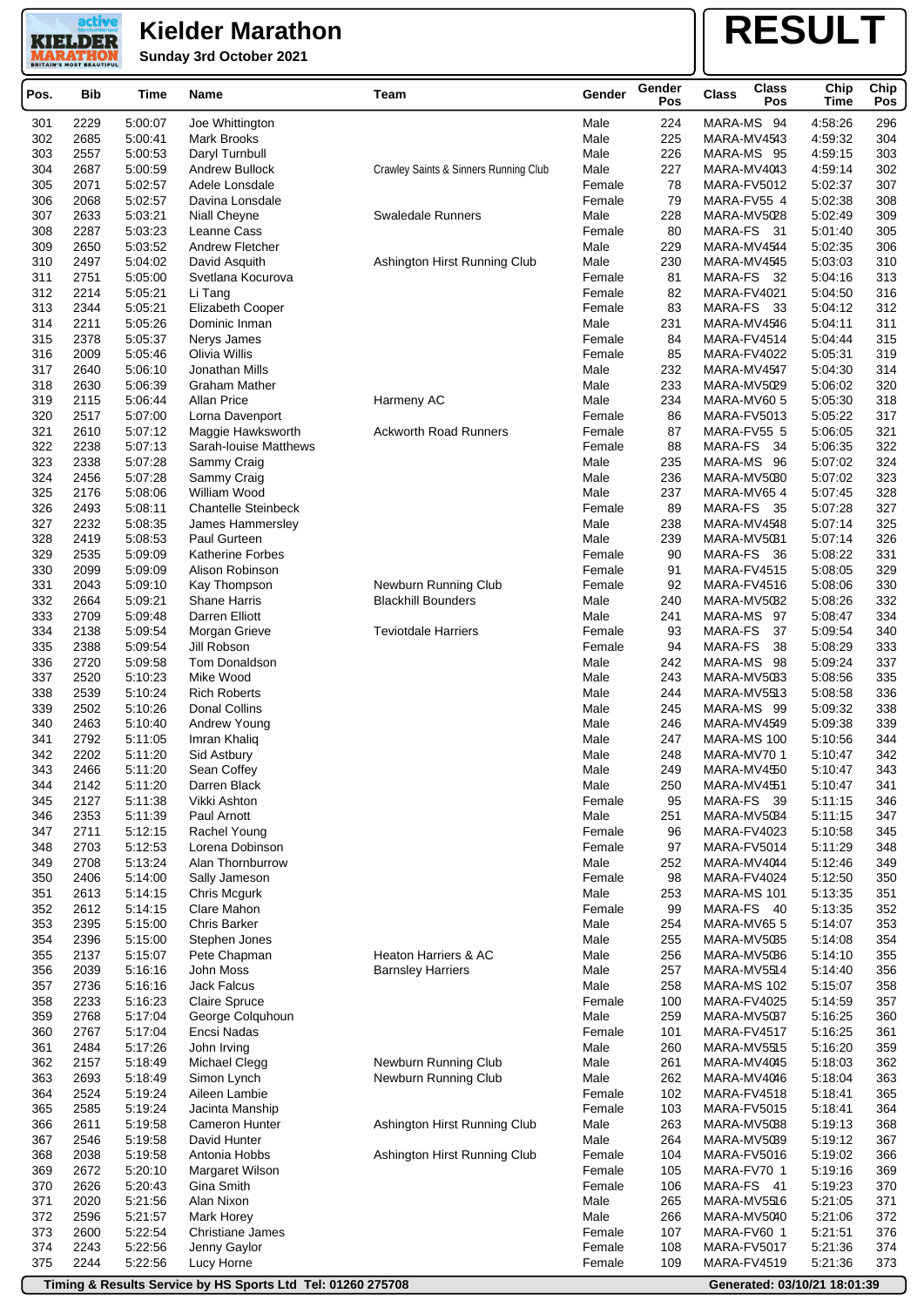**Sunday 3rd October 2021**

active **KIELDER** 

# **RESULT**

| Pos.       | Bib          | Time               | Name                                       | Team                                  | Gender           | Gender<br>Pos | <b>Class</b><br><b>Class</b><br>Pos | Chip<br>Time       | Chip<br>Pos |
|------------|--------------|--------------------|--------------------------------------------|---------------------------------------|------------------|---------------|-------------------------------------|--------------------|-------------|
| 301        | 2229         | 5:00:07            | Joe Whittington                            |                                       | Male             | 224           | MARA-MS 94                          | 4:58:26            | 296         |
| 302        | 2685         | 5:00:41            | <b>Mark Brooks</b>                         |                                       | Male             | 225           | MARA-MV4543                         | 4:59:32            | 304         |
| 303        | 2557         | 5:00:53            | Daryl Turnbull                             |                                       | Male             | 226           | MARA-MS 95                          | 4:59:15            | 303         |
| 304        | 2687         | 5:00:59            | Andrew Bullock                             | Crawley Saints & Sinners Running Club | Male             | 227           | MARA-MV4043                         | 4:59:14            | 302         |
| 305        | 2071         | 5:02:57            | Adele Lonsdale                             |                                       | Female           | 78            | MARA-FV5012                         | 5:02:37            | 307         |
| 306        | 2068         | 5:02:57            | Davina Lonsdale                            |                                       | Female           | 79            | MARA-FV55 4                         | 5:02:38            | 308         |
| 307        | 2633         | 5:03:21            | Niall Cheyne                               | <b>Swaledale Runners</b>              | Male             | 228           | MARA-MV5028                         | 5:02:49            | 309         |
| 308        | 2287         | 5:03:23            | Leanne Cass                                |                                       | Female           | 80            | MARA-FS 31                          | 5:01:40            | 305         |
| 309<br>310 | 2650<br>2497 | 5:03:52<br>5:04:02 | Andrew Fletcher                            | Ashington Hirst Running Club          | Male<br>Male     | 229<br>230    | MARA-MV4544<br>MARA-MV4545          | 5:02:35<br>5:03:03 | 306<br>310  |
| 311        | 2751         | 5:05:00            | David Asquith<br>Svetlana Kocurova         |                                       | Female           | 81            | MARA-FS 32                          | 5:04:16            | 313         |
| 312        | 2214         | 5:05:21            | Li Tang                                    |                                       | Female           | 82            | MARA-FV4021                         | 5:04:50            | 316         |
| 313        | 2344         | 5:05:21            | Elizabeth Cooper                           |                                       | Female           | 83            | MARA-FS 33                          | 5:04:12            | 312         |
| 314        | 2211         | 5:05:26            | Dominic Inman                              |                                       | Male             | 231           | MARA-MV4546                         | 5:04:11            | 311         |
| 315        | 2378         | 5:05:37            | Nerys James                                |                                       | Female           | 84            | MARA-FV4514                         | 5:04:44            | 315         |
| 316        | 2009         | 5:05:46            | Olivia Willis                              |                                       | Female           | 85            | MARA-FV4022                         | 5:05:31            | 319         |
| 317        | 2640         | 5:06:10            | Jonathan Mills                             |                                       | Male             | 232           | MARA-MV4547                         | 5:04:30            | 314         |
| 318        | 2630         | 5:06:39            | Graham Mather                              |                                       | Male             | 233           | MARA-MV5029                         | 5:06:02            | 320         |
| 319        | 2115         | 5:06:44            | Allan Price                                | Harmeny AC                            | Male             | 234           | MARA-MV60 5                         | 5:05:30            | 318         |
| 320        | 2517         | 5:07:00            | Lorna Davenport                            |                                       | Female           | 86            | MARA-FV5013                         | 5:05:22<br>5:06:05 | 317<br>321  |
| 321<br>322 | 2610<br>2238 | 5:07:12<br>5:07:13 | Maggie Hawksworth<br>Sarah-louise Matthews | <b>Ackworth Road Runners</b>          | Female<br>Female | 87<br>88      | MARA-FV55 5<br>MARA-FS<br>- 34      | 5:06:35            | 322         |
| 323        | 2338         | 5:07:28            | Sammy Craig                                |                                       | Male             | 235           | MARA-MS 96                          | 5:07:02            | 324         |
| 324        | 2456         | 5:07:28            | Sammy Craig                                |                                       | Male             | 236           | MARA-MV5080                         | 5:07:02            | 323         |
| 325        | 2176         | 5:08:06            | William Wood                               |                                       | Male             | 237           | MARA-MV65 4                         | 5:07:45            | 328         |
| 326        | 2493         | 5:08:11            | <b>Chantelle Steinbeck</b>                 |                                       | Female           | 89            | MARA-FS<br>- 35                     | 5:07:28            | 327         |
| 327        | 2232         | 5:08:35            | James Hammersley                           |                                       | Male             | 238           | MARA-MV4548                         | 5:07:14            | 325         |
| 328        | 2419         | 5:08:53            | Paul Gurteen                               |                                       | Male             | 239           | MARA-MV5031                         | 5:07:14            | 326         |
| 329        | 2535         | 5:09:09            | <b>Katherine Forbes</b>                    |                                       | Female           | 90            | MARA-FS<br>- 36                     | 5:08:22            | 331         |
| 330        | 2099         | 5:09:09            | Alison Robinson                            |                                       | Female           | 91            | MARA-FV4515                         | 5:08:05            | 329         |
| 331        | 2043         | 5:09:10            | Kay Thompson                               | Newburn Running Club                  | Female           | 92            | MARA-FV4516                         | 5:08:06            | 330         |
| 332        | 2664         | 5:09:21            | Shane Harris                               | <b>Blackhill Bounders</b>             | Male             | 240           | MARA-MV5032                         | 5:08:26            | 332         |
| 333        | 2709         | 5:09:48            | Darren Elliott                             |                                       | Male             | 241           | MARA-MS 97                          | 5:08:47            | 334         |
| 334<br>335 | 2138<br>2388 | 5:09:54<br>5:09:54 | Morgan Grieve<br>Jill Robson               | <b>Teviotdale Harriers</b>            | Female<br>Female | 93<br>94      | MARA-FS<br>37<br>MARA-FS<br>38      | 5:09:54<br>5:08:29 | 340<br>333  |
| 336        | 2720         | 5:09:58            | Tom Donaldson                              |                                       | Male             | 242           | MARA-MS 98                          | 5:09:24            | 337         |
| 337        | 2520         | 5:10:23            | Mike Wood                                  |                                       | Male             | 243           | MARA-MV5033                         | 5:08:56            | 335         |
| 338        | 2539         | 5:10:24            | <b>Rich Roberts</b>                        |                                       | Male             | 244           | MARA-MV5513                         | 5:08:58            | 336         |
| 339        | 2502         | 5:10:26            | Donal Collins                              |                                       | Male             | 245           | MARA-MS 99                          | 5:09:32            | 338         |
| 340        | 2463         | 5:10:40            | Andrew Young                               |                                       | Male             | 246           | MARA-MV4549                         | 5:09:38            | 339         |
| 341        | 2792         | 5:11:05            | Imran Khaliq                               |                                       | Male             | 247           | MARA-MS 100                         | 5:10:56            | 344         |
| 342        | 2202         | 5:11:20            | Sid Astbury                                |                                       | Male             | 248           | MARA-MV70 1                         | 5:10:47            | 342         |
| 343        | 2466         | 5:11:20            | Sean Coffey                                |                                       | Male             | 249           | MARA-MV4550                         | 5:10:47            | 343         |
| 344        | 2142         | 5:11:20<br>5:11:38 | Darren Black                               |                                       | Male             | 250           | MARA-MV4551                         | 5:10:47            | 341         |
| 345<br>346 | 2127<br>2353 | 5:11:39            | Vikki Ashton<br>Paul Arnott                |                                       | Female<br>Male   | 95<br>251     | MARA-FS 39<br>MARA-MV5084           | 5:11:15<br>5:11:15 | 346<br>347  |
| 347        | 2711         | 5:12:15            | Rachel Young                               |                                       | Female           | 96            | MARA-FV4023                         | 5:10:58            | 345         |
| 348        | 2703         | 5:12:53            | Lorena Dobinson                            |                                       | Female           | 97            | MARA-FV5014                         | 5:11:29            | 348         |
| 349        | 2708         | 5:13:24            | Alan Thornburrow                           |                                       | Male             | 252           | MARA-MV4044                         | 5:12:46            | 349         |
| 350        | 2406         | 5:14:00            | Sally Jameson                              |                                       | Female           | 98            | MARA-FV4024                         | 5:12:50            | 350         |
| 351        | 2613         | 5:14:15            | Chris Mcgurk                               |                                       | Male             | 253           | MARA-MS 101                         | 5:13:35            | 351         |
| 352        | 2612         | 5:14:15            | Clare Mahon                                |                                       | Female           | 99            | MARA-FS 40                          | 5:13:35            | 352         |
| 353        | 2395         | 5:15:00            | Chris Barker                               |                                       | Male             | 254           | MARA-MV655                          | 5:14:07            | 353         |
| 354        | 2396         | 5:15:00            | Stephen Jones                              |                                       | Male             | 255           | MARA-MV5035                         | 5:14:08            | 354         |
| 355        | 2137         | 5:15:07            | Pete Chapman                               | Heaton Harriers & AC                  | Male             | 256           | MARA-MV5086                         | 5:14:10            | 355         |
| 356        | 2039         | 5:16:16            | John Moss                                  | <b>Barnsley Harriers</b>              | Male             | 257           | MARA-MV5514                         | 5:14:40            | 356         |
| 357<br>358 | 2736<br>2233 | 5:16:16<br>5:16:23 | Jack Falcus<br><b>Claire Spruce</b>        |                                       | Male<br>Female   | 258<br>100    | MARA-MS 102<br>MARA-FV4025          | 5:15:07<br>5:14:59 | 358<br>357  |
| 359        | 2768         | 5:17:04            | George Colquhoun                           |                                       | Male             | 259           | MARA-MV5037                         | 5:16:25            | 360         |
| 360        | 2767         | 5:17:04            | Encsi Nadas                                |                                       | Female           | 101           | MARA-FV4517                         | 5:16:25            | 361         |
| 361        | 2484         | 5:17:26            | John Irving                                |                                       | Male             | 260           | MARA-MV5515                         | 5:16:20            | 359         |
| 362        | 2157         | 5:18:49            | Michael Clegg                              | Newburn Running Club                  | Male             | 261           | MARA-MV4045                         | 5:18:03            | 362         |
| 363        | 2693         | 5:18:49            | Simon Lynch                                | Newburn Running Club                  | Male             | 262           | MARA-MV4046                         | 5:18:04            | 363         |
| 364        | 2524         | 5:19:24            | Aileen Lambie                              |                                       | Female           | 102           | MARA-FV4518                         | 5:18:41            | 365         |
| 365        | 2585         | 5:19:24            | Jacinta Manship                            |                                       | Female           | 103           | MARA-FV5015                         | 5:18:41            | 364         |
| 366        | 2611         | 5:19:58            | Cameron Hunter                             | Ashington Hirst Running Club          | Male             | 263           | MARA-MV5038                         | 5:19:13            | 368         |
| 367        | 2546         | 5:19:58            | David Hunter                               |                                       | Male             | 264           | MARA-MV5089                         | 5:19:12            | 367         |
| 368        | 2038         | 5:19:58            | Antonia Hobbs                              | Ashington Hirst Running Club          | Female           | 104           | MARA-FV5016                         | 5:19:02            | 366         |
| 369<br>370 | 2672<br>2626 | 5:20:10<br>5:20:43 | Margaret Wilson<br>Gina Smith              |                                       | Female<br>Female | 105<br>106    | MARA-FV70 1<br>MARA-FS 41           | 5:19:16<br>5:19:23 | 369<br>370  |
| 371        | 2020         | 5:21:56            | Alan Nixon                                 |                                       | Male             | 265           | MARA-MV5516                         | 5:21:05            | 371         |
| 372        | 2596         | 5:21:57            | Mark Horey                                 |                                       | Male             | 266           | MARA-MV5040                         | 5:21:06            | 372         |
| 373        | 2600         | 5:22:54            | Christiane James                           |                                       | Female           | 107           | MARA-FV60 1                         | 5:21:51            | 376         |
| 374        | 2243         | 5:22:56            | Jenny Gaylor                               |                                       | Female           | 108           | MARA-FV5017                         | 5:21:36            | 374         |
| 375        | 2244         | 5:22:56            | Lucy Horne                                 |                                       | Female           | 109           | MARA-FV4519                         | 5:21:36            | 373         |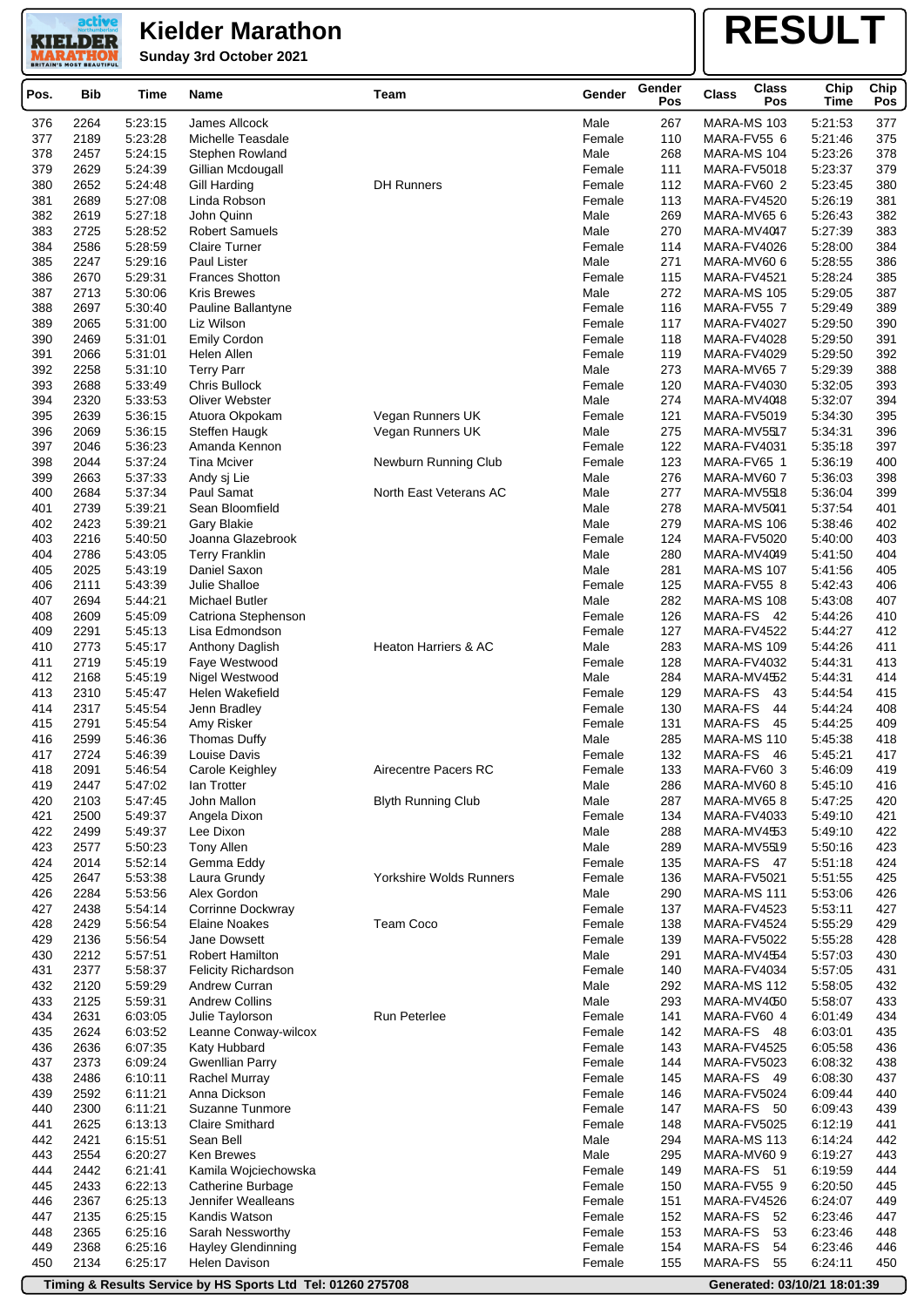**KIELDER Sunday 3rd October 2021 MARATHO** 

active

## **RESULT**

| Pos.       | <b>Bib</b>   | Time               | Name                                          | Team                            | Gender           | Gender<br>Pos | <b>Class</b><br><b>Class</b><br>Pos | Chip<br>Time       | Chip<br>Pos |
|------------|--------------|--------------------|-----------------------------------------------|---------------------------------|------------------|---------------|-------------------------------------|--------------------|-------------|
| 376        | 2264         | 5:23:15            | James Allcock                                 |                                 | Male             | 267           | MARA-MS 103                         | 5:21:53            | 377         |
| 377        | 2189         | 5:23:28            | Michelle Teasdale                             |                                 | Female           | 110           | MARA-FV55 6                         | 5:21:46            | 375         |
| 378        | 2457         | 5:24:15            | Stephen Rowland                               |                                 | Male             | 268           | MARA-MS 104                         | 5:23:26            | 378         |
| 379        | 2629         | 5:24:39            | Gillian Mcdougall                             |                                 | Female           | 111           | MARA-FV5018                         | 5:23:37            | 379         |
| 380        | 2652         | 5:24:48            | Gill Harding                                  | <b>DH Runners</b>               | Female           | 112           | MARA-FV60 2                         | 5:23:45            | 380         |
| 381        | 2689         | 5:27:08            | Linda Robson                                  |                                 | Female           | 113           | MARA-FV4520                         | 5:26:19            | 381         |
| 382        | 2619         | 5:27:18            | John Quinn                                    |                                 | Male             | 269           | MARA-MV65 6                         | 5:26:43            | 382         |
| 383<br>384 | 2725<br>2586 | 5:28:52<br>5:28:59 | <b>Robert Samuels</b><br><b>Claire Turner</b> |                                 | Male<br>Female   | 270<br>114    | MARA-MV4047                         | 5:27:39<br>5:28:00 | 383<br>384  |
| 385        | 2247         | 5:29:16            | <b>Paul Lister</b>                            |                                 | Male             | 271           | MARA-FV4026<br>MARA-MV60 6          | 5:28:55            | 386         |
| 386        | 2670         | 5:29:31            | <b>Frances Shotton</b>                        |                                 | Female           | 115           | MARA-FV4521                         | 5:28:24            | 385         |
| 387        | 2713         | 5:30:06            | <b>Kris Brewes</b>                            |                                 | Male             | 272           | MARA-MS 105                         | 5:29:05            | 387         |
| 388        | 2697         | 5:30:40            | Pauline Ballantyne                            |                                 | Female           | 116           | MARA-FV55 7                         | 5:29:49            | 389         |
| 389        | 2065         | 5:31:00            | Liz Wilson                                    |                                 | Female           | 117           | MARA-FV4027                         | 5:29:50            | 390         |
| 390        | 2469         | 5:31:01            | Emily Cordon                                  |                                 | Female           | 118           | MARA-FV4028                         | 5:29:50            | 391         |
| 391        | 2066         | 5:31:01            | Helen Allen                                   |                                 | Female           | 119           | MARA-FV4029                         | 5:29:50            | 392         |
| 392        | 2258         | 5:31:10            | <b>Terry Parr</b>                             |                                 | Male             | 273           | MARA-MV65 7                         | 5:29:39            | 388         |
| 393        | 2688         | 5:33:49            | <b>Chris Bullock</b>                          |                                 | Female           | 120           | <b>MARA-FV4030</b>                  | 5:32:05            | 393         |
| 394<br>395 | 2320<br>2639 | 5:33:53<br>5:36:15 | Oliver Webster<br>Atuora Okpokam              | Vegan Runners UK                | Male<br>Female   | 274<br>121    | MARA-MV4048<br>MARA-FV5019          | 5:32:07<br>5:34:30 | 394<br>395  |
| 396        | 2069         | 5:36:15            | Steffen Haugk                                 | Vegan Runners UK                | Male             | 275           | MARA-MV5517                         | 5:34:31            | 396         |
| 397        | 2046         | 5:36:23            | Amanda Kennon                                 |                                 | Female           | 122           | MARA-FV4031                         | 5:35:18            | 397         |
| 398        | 2044         | 5:37:24            | <b>Tina Mciver</b>                            | Newburn Running Club            | Female           | 123           | MARA-FV65 1                         | 5:36:19            | 400         |
| 399        | 2663         | 5:37:33            | Andy sj Lie                                   |                                 | Male             | 276           | MARA-MV60 7                         | 5:36:03            | 398         |
| 400        | 2684         | 5:37:34            | Paul Samat                                    | North East Veterans AC          | Male             | 277           | MARA-MV5518                         | 5:36:04            | 399         |
| 401        | 2739         | 5:39:21            | Sean Bloomfield                               |                                 | Male             | 278           | MARA-MV5041                         | 5:37:54            | 401         |
| 402        | 2423         | 5:39:21            | Gary Blakie                                   |                                 | Male             | 279           | MARA-MS 106                         | 5:38:46            | 402         |
| 403        | 2216         | 5:40:50            | Joanna Glazebrook                             |                                 | Female           | 124           | MARA-FV5020                         | 5:40:00            | 403         |
| 404        | 2786         | 5:43:05            | <b>Terry Franklin</b>                         |                                 | Male             | 280           | MARA-MV4049                         | 5:41:50            | 404         |
| 405        | 2025         | 5:43:19            | Daniel Saxon                                  |                                 | Male             | 281           | MARA-MS 107                         | 5:41:56            | 405         |
| 406<br>407 | 2111<br>2694 | 5:43:39<br>5:44:21 | Julie Shalloe<br>Michael Butler               |                                 | Female<br>Male   | 125<br>282    | MARA-FV55 8<br>MARA-MS 108          | 5:42:43<br>5:43:08 | 406<br>407  |
| 408        | 2609         | 5:45:09            | Catriona Stephenson                           |                                 | Female           | 126           | MARA-FS 42                          | 5:44:26            | 410         |
| 409        | 2291         | 5:45:13            | Lisa Edmondson                                |                                 | Female           | 127           | MARA-FV4522                         | 5:44:27            | 412         |
| 410        | 2773         | 5:45:17            | Anthony Daglish                               | <b>Heaton Harriers &amp; AC</b> | Male             | 283           | MARA-MS 109                         | 5:44:26            | 411         |
| 411        | 2719         | 5:45:19            | Faye Westwood                                 |                                 | Female           | 128           | MARA-FV4032                         | 5:44:31            | 413         |
| 412        | 2168         | 5:45:19            | Nigel Westwood                                |                                 | Male             | 284           | MARA-MV4552                         | 5:44:31            | 414         |
| 413        | 2310         | 5:45:47            | Helen Wakefield                               |                                 | Female           | 129           | <b>MARA-FS</b><br>43                | 5.44.54            | 415         |
| 414        | 2317         | 5:45:54            | Jenn Bradley                                  |                                 | Female           | 130           | MARA-FS<br>44                       | 5:44:24            | 408         |
| 415        | 2791         | 5:45:54            | Amy Risker                                    |                                 | Female           | 131           | MARA-FS<br>45                       | 5:44:25            | 409         |
| 416<br>417 | 2599<br>2724 | 5:46:36            | Thomas Duffy<br>Louise Davis                  |                                 | Male             | 285<br>132    | MARA-MS 110<br>MARA-FS<br>- 46      | 5:45:38<br>5:45:21 | 418<br>417  |
| 418        | 2091         | 5:46:39<br>5:46:54 | Carole Keighley                               | Airecentre Pacers RC            | Female<br>Female | 133           | MARA-FV60 3                         | 5:46:09            | 419         |
| 419        | 2447         | 5:47:02            | lan Trotter                                   |                                 | Male             | 286           | MARA-MV60 8                         | 5:45:10            | 416         |
| 420        | 2103         | 5:47:45            | John Mallon                                   | <b>Blyth Running Club</b>       | Male             | 287           | MARA-MV658                          | 5:47:25            | 420         |
| 421        | 2500         | 5:49:37            | Angela Dixon                                  |                                 | Female           | 134           | MARA-FV4033                         | 5:49:10            | 421         |
| 422        | 2499         | 5:49:37            | Lee Dixon                                     |                                 | Male             | 288           | MARA-MV4553                         | 5:49:10            | 422         |
| 423        | 2577         | 5:50:23            | <b>Tony Allen</b>                             |                                 | Male             | 289           | MARA-MV5519                         | 5:50:16            | 423         |
| 424        | 2014         | 5:52:14            | Gemma Eddy                                    |                                 | Female           | 135           | MARA-FS 47                          | 5:51:18            | 424         |
| 425        | 2647         | 5:53:38            | Laura Grundy                                  | <b>Yorkshire Wolds Runners</b>  | Female           | 136           | MARA-FV5021                         | 5:51:55            | 425         |
| 426        | 2284         | 5:53:56            | Alex Gordon                                   |                                 | Male             | 290           | MARA-MS 111                         | 5:53:06            | 426         |
| 427<br>428 | 2438<br>2429 | 5:54:14<br>5:56:54 | Corrinne Dockwray<br><b>Elaine Noakes</b>     | Team Coco                       | Female<br>Female | 137<br>138    | MARA-FV4523<br>MARA-FV4524          | 5:53:11<br>5:55:29 | 427<br>429  |
| 429        | 2136         | 5:56:54            | Jane Dowsett                                  |                                 | Female           | 139           | MARA-FV5022                         | 5:55:28            | 428         |
| 430        | 2212         | 5:57:51            | <b>Robert Hamilton</b>                        |                                 | Male             | 291           | MARA-MV4554                         | 5:57:03            | 430         |
| 431        | 2377         | 5:58:37            | <b>Felicity Richardson</b>                    |                                 | Female           | 140           | MARA-FV4034                         | 5:57:05            | 431         |
| 432        | 2120         | 5:59:29            | Andrew Curran                                 |                                 | Male             | 292           | MARA-MS 112                         | 5:58:05            | 432         |
| 433        | 2125         | 5:59:31            | <b>Andrew Collins</b>                         |                                 | Male             | 293           | MARA-MV4050                         | 5:58:07            | 433         |
| 434        | 2631         | 6:03:05            | Julie Taylorson                               | Run Peterlee                    | Female           | 141           | MARA-FV60 4                         | 6:01:49            | 434         |
| 435        | 2624         | 6:03:52            | Leanne Conway-wilcox                          |                                 | Female           | 142           | MARA-FS 48                          | 6:03:01            | 435         |
| 436        | 2636         | 6:07:35            | Katy Hubbard                                  |                                 | Female           | 143           | MARA-FV4525                         | 6:05:58            | 436         |
| 437        | 2373         | 6:09:24            | <b>Gwenllian Parry</b>                        |                                 | Female           | 144           | MARA-FV5023                         | 6:08:32            | 438         |
| 438<br>439 | 2486<br>2592 | 6:10:11<br>6:11:21 | <b>Rachel Murray</b><br>Anna Dickson          |                                 | Female<br>Female | 145<br>146    | MARA-FS 49<br>MARA-FV5024           | 6:08:30<br>6:09:44 | 437<br>440  |
| 440        | 2300         | 6:11:21            | Suzanne Tunmore                               |                                 | Female           | 147           | MARA-FS 50                          | 6:09:43            | 439         |
| 441        | 2625         | 6:13:13            | <b>Claire Smithard</b>                        |                                 | Female           | 148           | MARA-FV5025                         | 6:12:19            | 441         |
| 442        | 2421         | 6:15:51            | Sean Bell                                     |                                 | Male             | 294           | MARA-MS 113                         | 6:14:24            | 442         |
| 443        | 2554         | 6:20:27            | Ken Brewes                                    |                                 | Male             | 295           | MARA-MV60 9                         | 6:19:27            | 443         |
| 444        | 2442         | 6:21:41            | Kamila Wojciechowska                          |                                 | Female           | 149           | MARA-FS 51                          | 6:19:59            | 444         |
| 445        | 2433         | 6:22:13            | Catherine Burbage                             |                                 | Female           | 150           | MARA-FV55 9                         | 6:20:50            | 445         |
| 446        | 2367         | 6:25:13            | Jennifer Wealleans                            |                                 | Female           | 151           | MARA-FV4526                         | 6:24:07            | 449         |
| 447        | 2135         | 6:25:15            | Kandis Watson                                 |                                 | Female           | 152           | MARA-FS<br>52                       | 6:23:46            | 447         |
| 448<br>449 | 2365<br>2368 | 6:25:16<br>6:25:16 | Sarah Nessworthy<br><b>Hayley Glendinning</b> |                                 | Female<br>Female | 153<br>154    | MARA-FS<br>53<br>54<br>MARA-FS      | 6:23:46<br>6:23:46 | 448<br>446  |
| 450        | 2134         | 6:25:17            | <b>Helen Davison</b>                          |                                 | Female           | 155           | MARA-FS<br>55                       | 6:24:11            | 450         |
|            |              |                    |                                               |                                 |                  |               |                                     |                    |             |